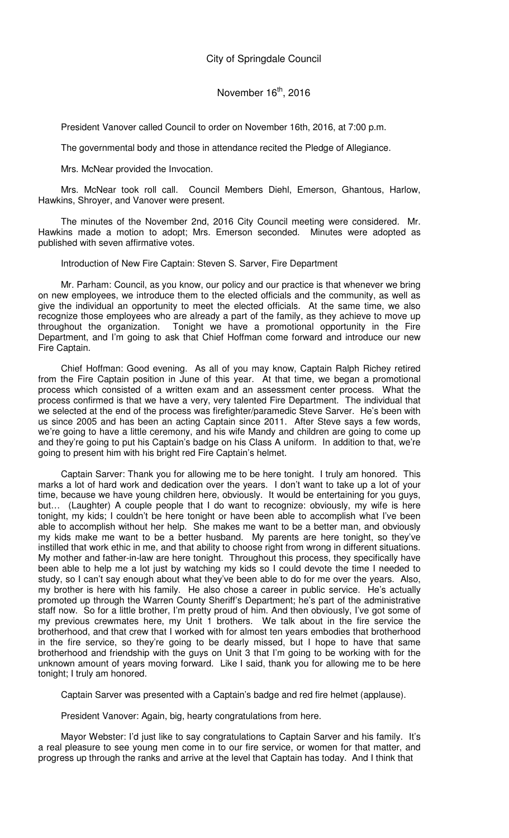President Vanover called Council to order on November 16th, 2016, at 7:00 p.m.

The governmental body and those in attendance recited the Pledge of Allegiance.

Mrs. McNear provided the Invocation.

Mrs. McNear took roll call. Council Members Diehl, Emerson, Ghantous, Harlow, Hawkins, Shroyer, and Vanover were present.

The minutes of the November 2nd, 2016 City Council meeting were considered. Mr. Hawkins made a motion to adopt; Mrs. Emerson seconded. Minutes were adopted as published with seven affirmative votes.

Introduction of New Fire Captain: Steven S. Sarver, Fire Department

Mr. Parham: Council, as you know, our policy and our practice is that whenever we bring on new employees, we introduce them to the elected officials and the community, as well as give the individual an opportunity to meet the elected officials. At the same time, we also recognize those employees who are already a part of the family, as they achieve to move up throughout the organization. Tonight we have a promotional opportunity in the Fire Department, and I'm going to ask that Chief Hoffman come forward and introduce our new Fire Captain.

Chief Hoffman: Good evening. As all of you may know, Captain Ralph Richey retired from the Fire Captain position in June of this year. At that time, we began a promotional process which consisted of a written exam and an assessment center process. What the process confirmed is that we have a very, very talented Fire Department. The individual that we selected at the end of the process was firefighter/paramedic Steve Sarver. He's been with us since 2005 and has been an acting Captain since 2011. After Steve says a few words, we're going to have a little ceremony, and his wife Mandy and children are going to come up and they're going to put his Captain's badge on his Class A uniform. In addition to that, we're going to present him with his bright red Fire Captain's helmet.

Captain Sarver: Thank you for allowing me to be here tonight. I truly am honored. This marks a lot of hard work and dedication over the years. I don't want to take up a lot of your time, because we have young children here, obviously. It would be entertaining for you guys, but… (Laughter) A couple people that I do want to recognize: obviously, my wife is here tonight, my kids; I couldn't be here tonight or have been able to accomplish what I've been able to accomplish without her help. She makes me want to be a better man, and obviously my kids make me want to be a better husband. My parents are here tonight, so they've instilled that work ethic in me, and that ability to choose right from wrong in different situations. My mother and father-in-law are here tonight. Throughout this process, they specifically have been able to help me a lot just by watching my kids so I could devote the time I needed to study, so I can't say enough about what they've been able to do for me over the years. Also, my brother is here with his family. He also chose a career in public service. He's actually promoted up through the Warren County Sheriff's Department; he's part of the administrative staff now. So for a little brother, I'm pretty proud of him. And then obviously, I've got some of my previous crewmates here, my Unit 1 brothers. We talk about in the fire service the brotherhood, and that crew that I worked with for almost ten years embodies that brotherhood in the fire service, so they're going to be dearly missed, but I hope to have that same brotherhood and friendship with the guys on Unit 3 that I'm going to be working with for the unknown amount of years moving forward. Like I said, thank you for allowing me to be here tonight; I truly am honored.

Captain Sarver was presented with a Captain's badge and red fire helmet (applause).

President Vanover: Again, big, hearty congratulations from here.

Mayor Webster: I'd just like to say congratulations to Captain Sarver and his family. It's a real pleasure to see young men come in to our fire service, or women for that matter, and progress up through the ranks and arrive at the level that Captain has today. And I think that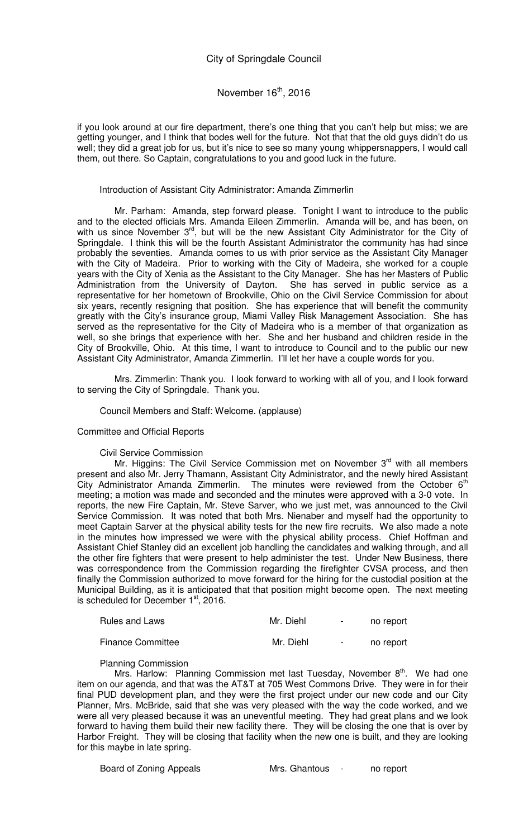## November  $16<sup>th</sup>$ , 2016

if you look around at our fire department, there's one thing that you can't help but miss; we are getting younger, and I think that bodes well for the future. Not that that the old guys didn't do us well; they did a great job for us, but it's nice to see so many young whippersnappers, I would call them, out there. So Captain, congratulations to you and good luck in the future.

#### Introduction of Assistant City Administrator: Amanda Zimmerlin

Mr. Parham: Amanda, step forward please. Tonight I want to introduce to the public and to the elected officials Mrs. Amanda Eileen Zimmerlin. Amanda will be, and has been, on with us since November  $3<sup>rd</sup>$ , but will be the new Assistant City Administrator for the City of Springdale. I think this will be the fourth Assistant Administrator the community has had since probably the seventies. Amanda comes to us with prior service as the Assistant City Manager with the City of Madeira. Prior to working with the City of Madeira, she worked for a couple years with the City of Xenia as the Assistant to the City Manager. She has her Masters of Public Administration from the University of Dayton. She has served in public service as a representative for her hometown of Brookville, Ohio on the Civil Service Commission for about six years, recently resigning that position. She has experience that will benefit the community greatly with the City's insurance group, Miami Valley Risk Management Association. She has served as the representative for the City of Madeira who is a member of that organization as well, so she brings that experience with her. She and her husband and children reside in the City of Brookville, Ohio. At this time, I want to introduce to Council and to the public our new Assistant City Administrator, Amanda Zimmerlin. I'll let her have a couple words for you.

Mrs. Zimmerlin: Thank you. I look forward to working with all of you, and I look forward to serving the City of Springdale. Thank you.

#### Council Members and Staff: Welcome. (applause)

#### Committee and Official Reports

#### Civil Service Commission

Mr. Higgins: The Civil Service Commission met on November  $3<sup>rd</sup>$  with all members present and also Mr. Jerry Thamann, Assistant City Administrator, and the newly hired Assistant City Administrator Amanda Zimmerlin. The minutes were reviewed from the October  $6<sup>th</sup>$ meeting; a motion was made and seconded and the minutes were approved with a 3-0 vote. In reports, the new Fire Captain, Mr. Steve Sarver, who we just met, was announced to the Civil Service Commission. It was noted that both Mrs. Nienaber and myself had the opportunity to meet Captain Sarver at the physical ability tests for the new fire recruits. We also made a note in the minutes how impressed we were with the physical ability process. Chief Hoffman and Assistant Chief Stanley did an excellent job handling the candidates and walking through, and all the other fire fighters that were present to help administer the test. Under New Business, there was correspondence from the Commission regarding the firefighter CVSA process, and then finally the Commission authorized to move forward for the hiring for the custodial position at the Municipal Building, as it is anticipated that that position might become open. The next meeting is scheduled for December  $1<sup>st</sup>$ , 2016.

| <b>Rules and Laws</b>    | Mr. Diehl | $\sim$ | no report |
|--------------------------|-----------|--------|-----------|
| <b>Finance Committee</b> | Mr. Diehl | $\sim$ | no report |

#### Planning Commission

Mrs. Harlow: Planning Commission met last Tuesday, November  $8<sup>th</sup>$ . We had one item on our agenda, and that was the AT&T at 705 West Commons Drive. They were in for their final PUD development plan, and they were the first project under our new code and our City Planner, Mrs. McBride, said that she was very pleased with the way the code worked, and we were all very pleased because it was an uneventful meeting. They had great plans and we look forward to having them build their new facility there. They will be closing the one that is over by Harbor Freight. They will be closing that facility when the new one is built, and they are looking for this maybe in late spring.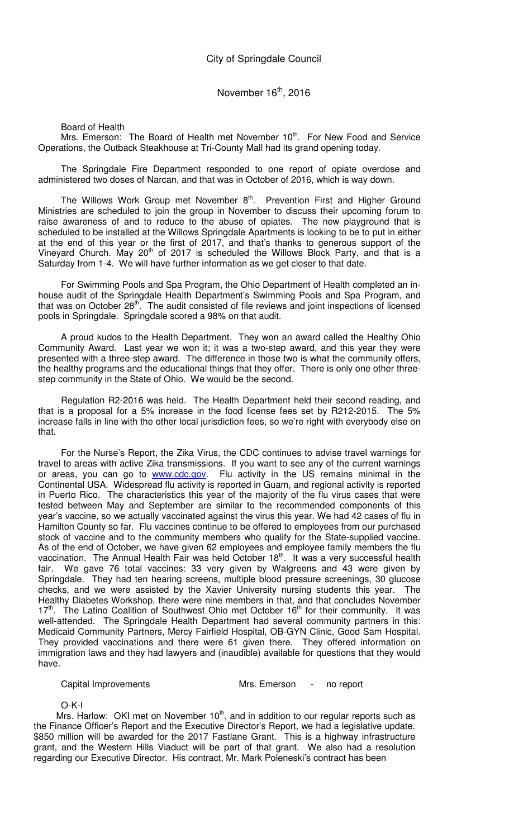Board of Health

Mrs. Emerson: The Board of Health met November 10<sup>th</sup>. For New Food and Service Operations, the Outback Steakhouse at Tri-County Mall had its grand opening today.

The Springdale Fire Department responded to one report of opiate overdose and administered two doses of Narcan, and that was in October of 2016, which is way down.

The Willows Work Group met November  $8<sup>th</sup>$ . Prevention First and Higher Ground Ministries are scheduled to join the group in November to discuss their upcoming forum to raise awareness of and to reduce to the abuse of opiates. The new playground that is scheduled to be installed at the Willows Springdale Apartments is looking to be to put in either at the end of this year or the first of 2017, and that's thanks to generous support of the Vineyard Church. May 20<sup>th</sup> of 2017 is scheduled the Willows Block Party, and that is a Saturday from 1-4. We will have further information as we get closer to that date.

For Swimming Pools and Spa Program, the Ohio Department of Health completed an inhouse audit of the Springdale Health Department's Swimming Pools and Spa Program, and that was on October 28<sup>th</sup>. The audit consisted of file reviews and joint inspections of licensed pools in Springdale. Springdale scored a 98% on that audit.

A proud kudos to the Health Department. They won an award called the Healthy Ohio Community Award. Last year we won it; it was a two-step award, and this year they were presented with a three-step award. The difference in those two is what the community offers, the healthy programs and the educational things that they offer. There is only one other threestep community in the State of Ohio. We would be the second.

Regulation R2-2016 was held. The Health Department held their second reading, and that is a proposal for a 5% increase in the food license fees set by R212-2015. The 5% increase falls in line with the other local jurisdiction fees, so we're right with everybody else on that.

For the Nurse's Report, the Zika Virus, the CDC continues to advise travel warnings for travel to areas with active Zika transmissions. If you want to see any of the current warnings or areas, you can go to www.cdc.gov. Flu activity in the US remains minimal in the Continental USA. Widespread flu activity is reported in Guam, and regional activity is reported in Puerto Rico. The characteristics this year of the majority of the flu virus cases that were tested between May and September are similar to the recommended components of this year's vaccine, so we actually vaccinated against the virus this year. We had 42 cases of flu in Hamilton County so far. Flu vaccines continue to be offered to employees from our purchased stock of vaccine and to the community members who qualify for the State-supplied vaccine. As of the end of October, we have given 62 employees and employee family members the flu vaccination. The Annual Health Fair was held October 18<sup>th</sup>. It was a very successful health fair. We gave 76 total vaccines: 33 very given by Walgreens and 43 were given by Springdale. They had ten hearing screens, multiple blood pressure screenings, 30 glucose checks, and we were assisted by the Xavier University nursing students this year. The Healthy Diabetes Workshop, there were nine members in that, and that concludes November  $17<sup>th</sup>$ . The Latino Coalition of Southwest Ohio met October  $16<sup>th</sup>$  for their community. It was well-attended. The Springdale Health Department had several community partners in this: Medicaid Community Partners, Mercy Fairfield Hospital, OB-GYN Clinic, Good Sam Hospital. They provided vaccinations and there were 61 given there. They offered information on immigration laws and they had lawyers and (inaudible) available for questions that they would have.

#### Capital Improvements Mrs. Emerson - no report

O-K-I

Mrs. Harlow: OKI met on November  $10<sup>th</sup>$ , and in addition to our regular reports such as the Finance Officer's Report and the Executive Director's Report, we had a legislative update. \$850 million will be awarded for the 2017 Fastlane Grant. This is a highway infrastructure grant, and the Western Hills Viaduct will be part of that grant. We also had a resolution regarding our Executive Director. His contract, Mr. Mark Poleneski's contract has been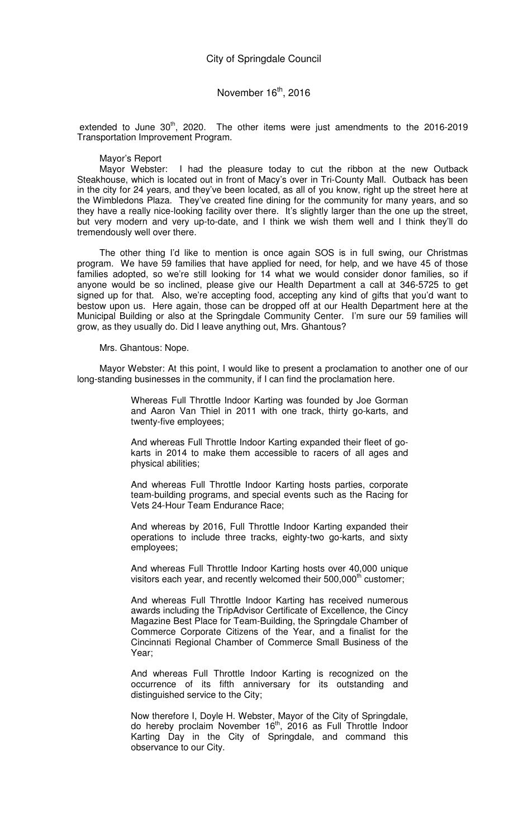extended to June  $30<sup>th</sup>$ , 2020. The other items were just amendments to the 2016-2019 Transportation Improvement Program.

Mayor's Report<br>Mayor Webster: I had the pleasure today to cut the ribbon at the new Outback Steakhouse, which is located out in front of Macy's over in Tri-County Mall. Outback has been in the city for 24 years, and they've been located, as all of you know, right up the street here at the Wimbledons Plaza. They've created fine dining for the community for many years, and so they have a really nice-looking facility over there. It's slightly larger than the one up the street, but very modern and very up-to-date, and I think we wish them well and I think they'll do tremendously well over there.

The other thing I'd like to mention is once again SOS is in full swing, our Christmas program. We have 59 families that have applied for need, for help, and we have 45 of those families adopted, so we're still looking for 14 what we would consider donor families, so if anyone would be so inclined, please give our Health Department a call at 346-5725 to get signed up for that. Also, we're accepting food, accepting any kind of gifts that you'd want to bestow upon us. Here again, those can be dropped off at our Health Department here at the Municipal Building or also at the Springdale Community Center. I'm sure our 59 families will grow, as they usually do. Did I leave anything out, Mrs. Ghantous?

#### Mrs. Ghantous: Nope.

Mayor Webster: At this point, I would like to present a proclamation to another one of our long-standing businesses in the community, if I can find the proclamation here.

> Whereas Full Throttle Indoor Karting was founded by Joe Gorman and Aaron Van Thiel in 2011 with one track, thirty go-karts, and twenty-five employees;

> And whereas Full Throttle Indoor Karting expanded their fleet of gokarts in 2014 to make them accessible to racers of all ages and physical abilities;

> And whereas Full Throttle Indoor Karting hosts parties, corporate team-building programs, and special events such as the Racing for Vets 24-Hour Team Endurance Race;

> And whereas by 2016, Full Throttle Indoor Karting expanded their operations to include three tracks, eighty-two go-karts, and sixty employees;

> And whereas Full Throttle Indoor Karting hosts over 40,000 unique visitors each year, and recently welcomed their  $500,000$ <sup>th</sup> customer;

> And whereas Full Throttle Indoor Karting has received numerous awards including the TripAdvisor Certificate of Excellence, the Cincy Magazine Best Place for Team-Building, the Springdale Chamber of Commerce Corporate Citizens of the Year, and a finalist for the Cincinnati Regional Chamber of Commerce Small Business of the Year;

> And whereas Full Throttle Indoor Karting is recognized on the occurrence of its fifth anniversary for its outstanding and distinguished service to the City;

> Now therefore I, Doyle H. Webster, Mayor of the City of Springdale, do hereby proclaim November 16<sup>th</sup>, 2016 as Full Throttle Indoor Karting Day in the City of Springdale, and command this observance to our City.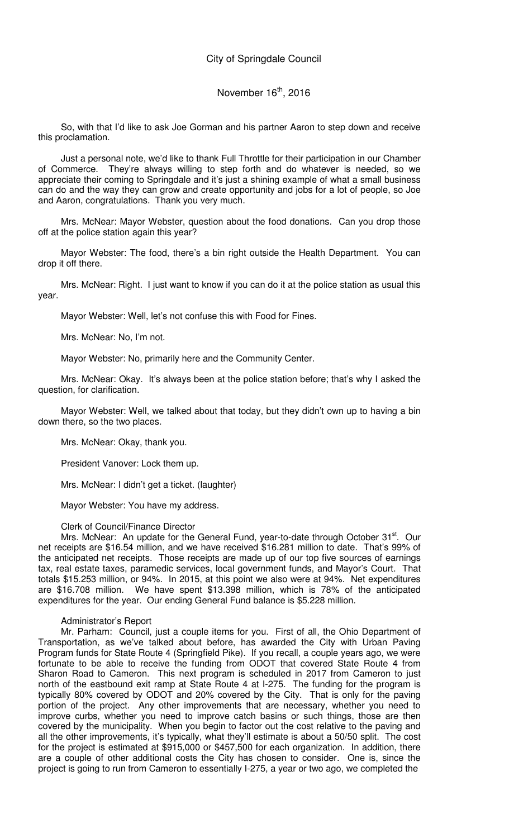So, with that I'd like to ask Joe Gorman and his partner Aaron to step down and receive this proclamation.

Just a personal note, we'd like to thank Full Throttle for their participation in our Chamber of Commerce. They're always willing to step forth and do whatever is needed, so we appreciate their coming to Springdale and it's just a shining example of what a small business can do and the way they can grow and create opportunity and jobs for a lot of people, so Joe and Aaron, congratulations. Thank you very much.

Mrs. McNear: Mayor Webster, question about the food donations. Can you drop those off at the police station again this year?

Mayor Webster: The food, there's a bin right outside the Health Department. You can drop it off there.

Mrs. McNear: Right. I just want to know if you can do it at the police station as usual this year.

Mayor Webster: Well, let's not confuse this with Food for Fines.

Mrs. McNear: No, I'm not.

Mayor Webster: No, primarily here and the Community Center.

Mrs. McNear: Okay. It's always been at the police station before; that's why I asked the question, for clarification.

Mayor Webster: Well, we talked about that today, but they didn't own up to having a bin down there, so the two places.

Mrs. McNear: Okay, thank you.

President Vanover: Lock them up.

Mrs. McNear: I didn't get a ticket. (laughter)

Mayor Webster: You have my address.

#### Clerk of Council/Finance Director

Mrs. McNear: An update for the General Fund, year-to-date through October 31<sup>st</sup>. Our net receipts are \$16.54 million, and we have received \$16.281 million to date. That's 99% of the anticipated net receipts. Those receipts are made up of our top five sources of earnings tax, real estate taxes, paramedic services, local government funds, and Mayor's Court. That totals \$15.253 million, or 94%. In 2015, at this point we also were at 94%. Net expenditures are \$16.708 million. We have spent \$13.398 million, which is 78% of the anticipated expenditures for the year. Our ending General Fund balance is \$5.228 million.

#### Administrator's Report

Mr. Parham: Council, just a couple items for you. First of all, the Ohio Department of Transportation, as we've talked about before, has awarded the City with Urban Paving Program funds for State Route 4 (Springfield Pike). If you recall, a couple years ago, we were fortunate to be able to receive the funding from ODOT that covered State Route 4 from Sharon Road to Cameron. This next program is scheduled in 2017 from Cameron to just north of the eastbound exit ramp at State Route 4 at I-275. The funding for the program is typically 80% covered by ODOT and 20% covered by the City. That is only for the paving portion of the project. Any other improvements that are necessary, whether you need to improve curbs, whether you need to improve catch basins or such things, those are then covered by the municipality. When you begin to factor out the cost relative to the paving and all the other improvements, it's typically, what they'll estimate is about a 50/50 split. The cost for the project is estimated at \$915,000 or \$457,500 for each organization. In addition, there are a couple of other additional costs the City has chosen to consider. One is, since the project is going to run from Cameron to essentially I-275, a year or two ago, we completed the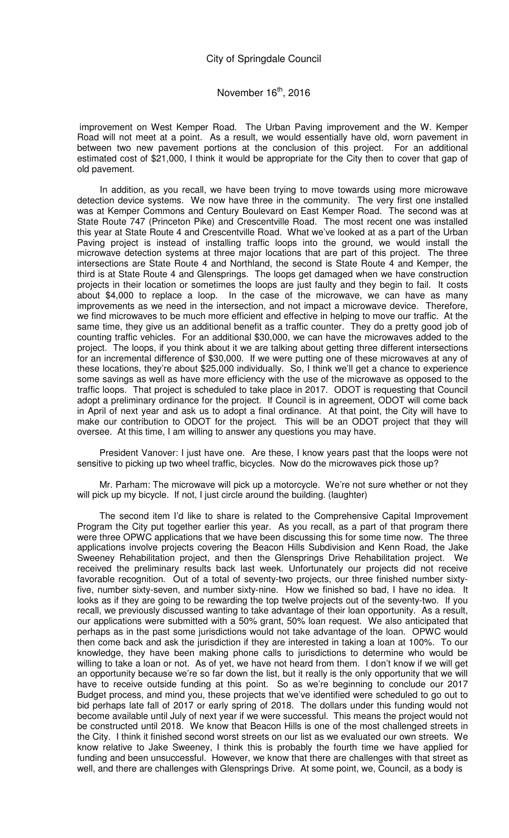improvement on West Kemper Road. The Urban Paving improvement and the W. Kemper Road will not meet at a point. As a result, we would essentially have old, worn pavement in between two new pavement portions at the conclusion of this project. For an additional estimated cost of \$21,000, I think it would be appropriate for the City then to cover that gap of old pavement.

In addition, as you recall, we have been trying to move towards using more microwave detection device systems. We now have three in the community. The very first one installed was at Kemper Commons and Century Boulevard on East Kemper Road. The second was at State Route 747 (Princeton Pike) and Crescentville Road. The most recent one was installed this year at State Route 4 and Crescentville Road. What we've looked at as a part of the Urban Paving project is instead of installing traffic loops into the ground, we would install the microwave detection systems at three major locations that are part of this project. The three intersections are State Route 4 and Northland, the second is State Route 4 and Kemper, the third is at State Route 4 and Glensprings. The loops get damaged when we have construction projects in their location or sometimes the loops are just faulty and they begin to fail. It costs about \$4,000 to replace a loop. In the case of the microwave, we can have as many improvements as we need in the intersection, and not impact a microwave device. Therefore, we find microwaves to be much more efficient and effective in helping to move our traffic. At the same time, they give us an additional benefit as a traffic counter. They do a pretty good job of counting traffic vehicles. For an additional \$30,000, we can have the microwaves added to the project. The loops, if you think about it we are talking about getting three different intersections for an incremental difference of \$30,000. If we were putting one of these microwaves at any of these locations, they're about \$25,000 individually. So, I think we'll get a chance to experience some savings as well as have more efficiency with the use of the microwave as opposed to the traffic loops. That project is scheduled to take place in 2017. ODOT is requesting that Council adopt a preliminary ordinance for the project. If Council is in agreement, ODOT will come back in April of next year and ask us to adopt a final ordinance. At that point, the City will have to make our contribution to ODOT for the project. This will be an ODOT project that they will oversee. At this time, I am willing to answer any questions you may have.

President Vanover: I just have one. Are these, I know years past that the loops were not sensitive to picking up two wheel traffic, bicycles. Now do the microwaves pick those up?

Mr. Parham: The microwave will pick up a motorcycle. We're not sure whether or not they will pick up my bicycle. If not, I just circle around the building. (laughter)

The second item I'd like to share is related to the Comprehensive Capital Improvement Program the City put together earlier this year. As you recall, as a part of that program there were three OPWC applications that we have been discussing this for some time now. The three applications involve projects covering the Beacon Hills Subdivision and Kenn Road, the Jake Sweeney Rehabilitation project, and then the Glensprings Drive Rehabilitation project. We received the preliminary results back last week. Unfortunately our projects did not receive favorable recognition. Out of a total of seventy-two projects, our three finished number sixtyfive, number sixty-seven, and number sixty-nine. How we finished so bad, I have no idea. It looks as if they are going to be rewarding the top twelve projects out of the seventy-two. If you recall, we previously discussed wanting to take advantage of their loan opportunity. As a result, our applications were submitted with a 50% grant, 50% loan request. We also anticipated that perhaps as in the past some jurisdictions would not take advantage of the loan. OPWC would then come back and ask the jurisdiction if they are interested in taking a loan at 100%. To our knowledge, they have been making phone calls to jurisdictions to determine who would be willing to take a loan or not. As of yet, we have not heard from them. I don't know if we will get an opportunity because we're so far down the list, but it really is the only opportunity that we will have to receive outside funding at this point. So as we're beginning to conclude our 2017 Budget process, and mind you, these projects that we've identified were scheduled to go out to bid perhaps late fall of 2017 or early spring of 2018. The dollars under this funding would not become available until July of next year if we were successful. This means the project would not be constructed until 2018. We know that Beacon Hills is one of the most challenged streets in the City. I think it finished second worst streets on our list as we evaluated our own streets. We know relative to Jake Sweeney, I think this is probably the fourth time we have applied for funding and been unsuccessful. However, we know that there are challenges with that street as well, and there are challenges with Glensprings Drive. At some point, we, Council, as a body is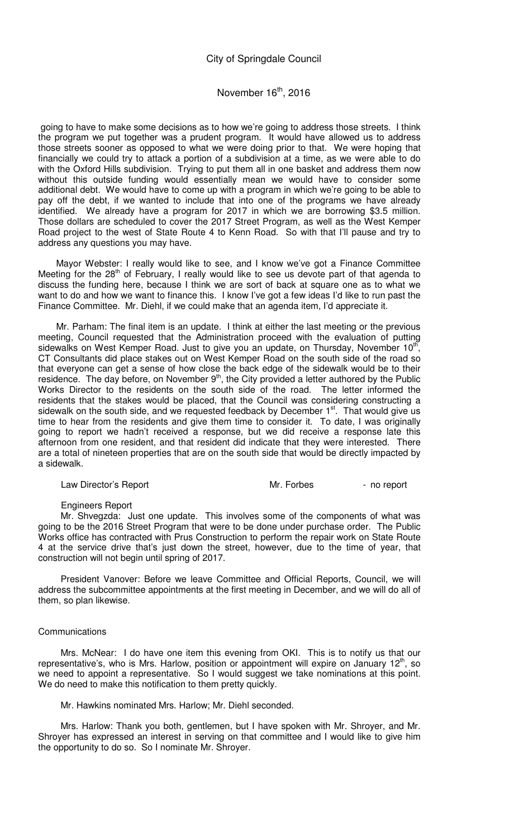# November 16<sup>th</sup>, 2016

 going to have to make some decisions as to how we're going to address those streets. I think the program we put together was a prudent program. It would have allowed us to address those streets sooner as opposed to what we were doing prior to that. We were hoping that financially we could try to attack a portion of a subdivision at a time, as we were able to do with the Oxford Hills subdivision. Trying to put them all in one basket and address them now without this outside funding would essentially mean we would have to consider some additional debt. We would have to come up with a program in which we're going to be able to pay off the debt, if we wanted to include that into one of the programs we have already identified. We already have a program for 2017 in which we are borrowing \$3.5 million. Those dollars are scheduled to cover the 2017 Street Program, as well as the West Kemper Road project to the west of State Route 4 to Kenn Road. So with that I'll pause and try to address any questions you may have.

 Mayor Webster: I really would like to see, and I know we've got a Finance Committee Meeting for the 28<sup>th</sup> of February, I really would like to see us devote part of that agenda to discuss the funding here, because I think we are sort of back at square one as to what we want to do and how we want to finance this. I know I've got a few ideas I'd like to run past the Finance Committee. Mr. Diehl, if we could make that an agenda item, I'd appreciate it.

 Mr. Parham: The final item is an update. I think at either the last meeting or the previous meeting, Council requested that the Administration proceed with the evaluation of putting sidewalks on West Kemper Road. Just to give you an update, on Thursday, November 10<sup>th</sup>, CT Consultants did place stakes out on West Kemper Road on the south side of the road so that everyone can get a sense of how close the back edge of the sidewalk would be to their residence. The day before, on November 9<sup>th</sup>, the City provided a letter authored by the Public residence. Works Director to the residents on the south side of the road. The letter informed the residents that the stakes would be placed, that the Council was considering constructing a sidewalk on the south side, and we requested feedback by December  $1<sup>st</sup>$ . That would give us time to hear from the residents and give them time to consider it. To date, I was originally going to report we hadn't received a response, but we did receive a response late this afternoon from one resident, and that resident did indicate that they were interested. There are a total of nineteen properties that are on the south side that would be directly impacted by a sidewalk.

Law Director's Report **Access 19 and 19 and 19 and 19 and 19 and 19 and 19 and 19 and 19 and 19 and 19 and 19 and 19 and 19 and 19 and 19 and 19 and 19 and 19 and 19 and 19 and 19 and 19 and 19 and 19 and 19 and 19 and 19** 

#### Engineers Report

Mr. Shvegzda: Just one update. This involves some of the components of what was going to be the 2016 Street Program that were to be done under purchase order. The Public Works office has contracted with Prus Construction to perform the repair work on State Route 4 at the service drive that's just down the street, however, due to the time of year, that construction will not begin until spring of 2017.

President Vanover: Before we leave Committee and Official Reports, Council, we will address the subcommittee appointments at the first meeting in December, and we will do all of them, so plan likewise.

#### Communications

Mrs. McNear: I do have one item this evening from OKI. This is to notify us that our representative's, who is Mrs. Harlow, position or appointment will expire on January  $12<sup>th</sup>$ , so we need to appoint a representative. So I would suggest we take nominations at this point. We do need to make this notification to them pretty quickly.

Mr. Hawkins nominated Mrs. Harlow; Mr. Diehl seconded.

Mrs. Harlow: Thank you both, gentlemen, but I have spoken with Mr. Shroyer, and Mr. Shroyer has expressed an interest in serving on that committee and I would like to give him the opportunity to do so. So I nominate Mr. Shroyer.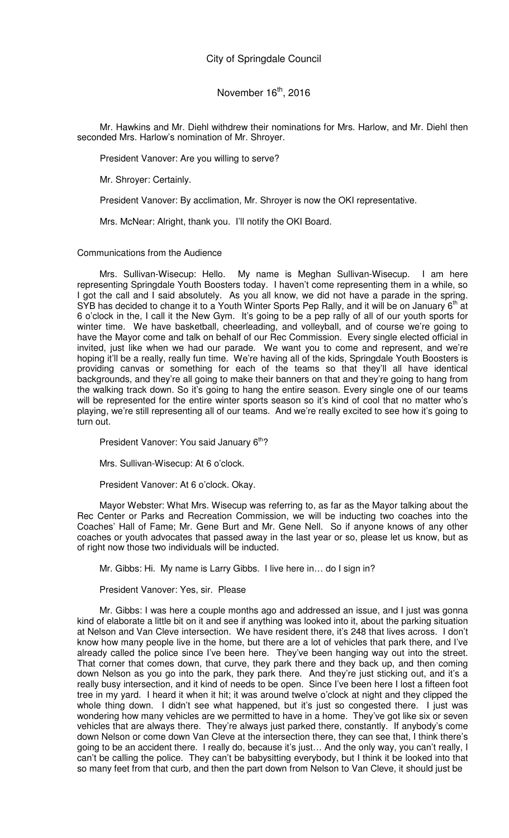Mr. Hawkins and Mr. Diehl withdrew their nominations for Mrs. Harlow, and Mr. Diehl then seconded Mrs. Harlow's nomination of Mr. Shroyer.

President Vanover: Are you willing to serve?

Mr. Shroyer: Certainly.

President Vanover: By acclimation, Mr. Shroyer is now the OKI representative.

Mrs. McNear: Alright, thank you. I'll notify the OKI Board.

Communications from the Audience

Mrs. Sullivan-Wisecup: Hello. My name is Meghan Sullivan-Wisecup. I am here representing Springdale Youth Boosters today. I haven't come representing them in a while, so I got the call and I said absolutely. As you all know, we did not have a parade in the spring. SYB has decided to change it to a Youth Winter Sports Pep Rally, and it will be on January 6<sup>th</sup> at 6 o'clock in the, I call it the New Gym. It's going to be a pep rally of all of our youth sports for winter time. We have basketball, cheerleading, and volleyball, and of course we're going to have the Mayor come and talk on behalf of our Rec Commission. Every single elected official in invited, just like when we had our parade. We want you to come and represent, and we're hoping it'll be a really, really fun time. We're having all of the kids, Springdale Youth Boosters is providing canvas or something for each of the teams so that they'll all have identical backgrounds, and they're all going to make their banners on that and they're going to hang from the walking track down. So it's going to hang the entire season. Every single one of our teams will be represented for the entire winter sports season so it's kind of cool that no matter who's playing, we're still representing all of our teams. And we're really excited to see how it's going to turn out.

President Vanover: You said January 6<sup>th</sup>?

Mrs. Sullivan-Wisecup: At 6 o'clock.

President Vanover: At 6 o'clock. Okay.

Mayor Webster: What Mrs. Wisecup was referring to, as far as the Mayor talking about the Rec Center or Parks and Recreation Commission, we will be inducting two coaches into the Coaches' Hall of Fame; Mr. Gene Burt and Mr. Gene Nell. So if anyone knows of any other coaches or youth advocates that passed away in the last year or so, please let us know, but as of right now those two individuals will be inducted.

Mr. Gibbs: Hi. My name is Larry Gibbs. I live here in… do I sign in?

President Vanover: Yes, sir. Please

Mr. Gibbs: I was here a couple months ago and addressed an issue, and I just was gonna kind of elaborate a little bit on it and see if anything was looked into it, about the parking situation at Nelson and Van Cleve intersection. We have resident there, it's 248 that lives across. I don't know how many people live in the home, but there are a lot of vehicles that park there, and I've already called the police since I've been here. They've been hanging way out into the street. That corner that comes down, that curve, they park there and they back up, and then coming down Nelson as you go into the park, they park there. And they're just sticking out, and it's a really busy intersection, and it kind of needs to be open. Since I've been here I lost a fifteen foot tree in my yard. I heard it when it hit; it was around twelve o'clock at night and they clipped the whole thing down. I didn't see what happened, but it's just so congested there. I just was wondering how many vehicles are we permitted to have in a home. They've got like six or seven vehicles that are always there. They're always just parked there, constantly. If anybody's come down Nelson or come down Van Cleve at the intersection there, they can see that, I think there's going to be an accident there. I really do, because it's just… And the only way, you can't really, I can't be calling the police. They can't be babysitting everybody, but I think it be looked into that so many feet from that curb, and then the part down from Nelson to Van Cleve, it should just be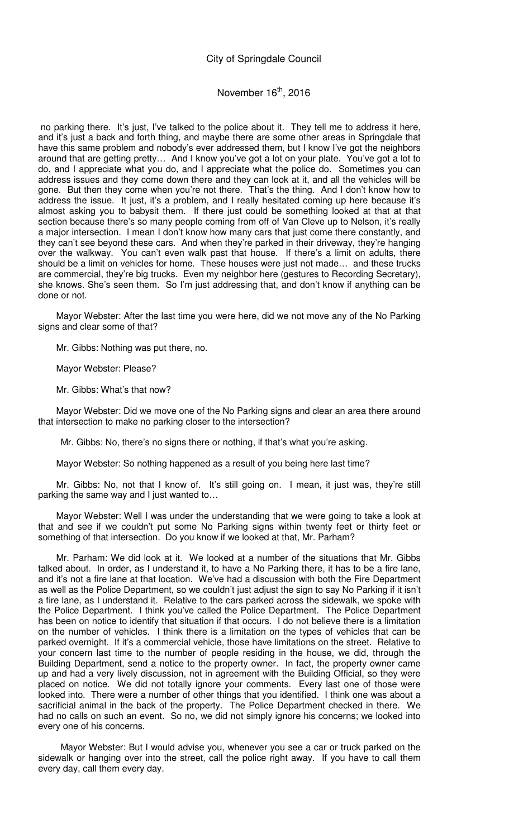## November  $16<sup>th</sup>$ , 2016

 no parking there. It's just, I've talked to the police about it. They tell me to address it here, and it's just a back and forth thing, and maybe there are some other areas in Springdale that have this same problem and nobody's ever addressed them, but I know I've got the neighbors around that are getting pretty… And I know you've got a lot on your plate. You've got a lot to do, and I appreciate what you do, and I appreciate what the police do. Sometimes you can address issues and they come down there and they can look at it, and all the vehicles will be gone. But then they come when you're not there. That's the thing. And I don't know how to address the issue. It just, it's a problem, and I really hesitated coming up here because it's almost asking you to babysit them. If there just could be something looked at that at that section because there's so many people coming from off of Van Cleve up to Nelson, it's really a major intersection. I mean I don't know how many cars that just come there constantly, and they can't see beyond these cars. And when they're parked in their driveway, they're hanging over the walkway. You can't even walk past that house. If there's a limit on adults, there should be a limit on vehicles for home. These houses were just not made… and these trucks are commercial, they're big trucks. Even my neighbor here (gestures to Recording Secretary), she knows. She's seen them. So I'm just addressing that, and don't know if anything can be done or not.

 Mayor Webster: After the last time you were here, did we not move any of the No Parking signs and clear some of that?

Mr. Gibbs: Nothing was put there, no.

Mayor Webster: Please?

Mr. Gibbs: What's that now?

 Mayor Webster: Did we move one of the No Parking signs and clear an area there around that intersection to make no parking closer to the intersection?

Mr. Gibbs: No, there's no signs there or nothing, if that's what you're asking.

Mayor Webster: So nothing happened as a result of you being here last time?

 Mr. Gibbs: No, not that I know of. It's still going on. I mean, it just was, they're still parking the same way and I just wanted to…

 Mayor Webster: Well I was under the understanding that we were going to take a look at that and see if we couldn't put some No Parking signs within twenty feet or thirty feet or something of that intersection. Do you know if we looked at that, Mr. Parham?

 Mr. Parham: We did look at it. We looked at a number of the situations that Mr. Gibbs talked about. In order, as I understand it, to have a No Parking there, it has to be a fire lane, and it's not a fire lane at that location. We've had a discussion with both the Fire Department as well as the Police Department, so we couldn't just adjust the sign to say No Parking if it isn't a fire lane, as I understand it. Relative to the cars parked across the sidewalk, we spoke with the Police Department. I think you've called the Police Department. The Police Department has been on notice to identify that situation if that occurs. I do not believe there is a limitation on the number of vehicles. I think there is a limitation on the types of vehicles that can be parked overnight. If it's a commercial vehicle, those have limitations on the street. Relative to your concern last time to the number of people residing in the house, we did, through the Building Department, send a notice to the property owner. In fact, the property owner came up and had a very lively discussion, not in agreement with the Building Official, so they were placed on notice. We did not totally ignore your comments. Every last one of those were looked into. There were a number of other things that you identified. I think one was about a sacrificial animal in the back of the property. The Police Department checked in there. We had no calls on such an event. So no, we did not simply ignore his concerns; we looked into every one of his concerns.

Mayor Webster: But I would advise you, whenever you see a car or truck parked on the sidewalk or hanging over into the street, call the police right away. If you have to call them every day, call them every day.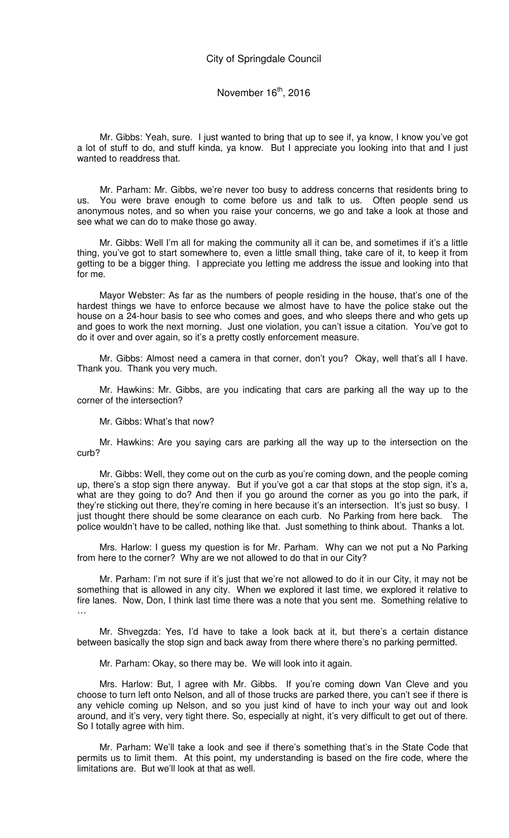Mr. Gibbs: Yeah, sure. I just wanted to bring that up to see if, ya know, I know you've got a lot of stuff to do, and stuff kinda, ya know. But I appreciate you looking into that and I just wanted to readdress that.

Mr. Parham: Mr. Gibbs, we're never too busy to address concerns that residents bring to us. You were brave enough to come before us and talk to us. Often people send us anonymous notes, and so when you raise your concerns, we go and take a look at those and see what we can do to make those go away.

Mr. Gibbs: Well I'm all for making the community all it can be, and sometimes if it's a little thing, you've got to start somewhere to, even a little small thing, take care of it, to keep it from getting to be a bigger thing. I appreciate you letting me address the issue and looking into that for me.

Mayor Webster: As far as the numbers of people residing in the house, that's one of the hardest things we have to enforce because we almost have to have the police stake out the house on a 24-hour basis to see who comes and goes, and who sleeps there and who gets up and goes to work the next morning. Just one violation, you can't issue a citation. You've got to do it over and over again, so it's a pretty costly enforcement measure.

Mr. Gibbs: Almost need a camera in that corner, don't you? Okay, well that's all I have. Thank you. Thank you very much.

Mr. Hawkins: Mr. Gibbs, are you indicating that cars are parking all the way up to the corner of the intersection?

Mr. Gibbs: What's that now?

Mr. Hawkins: Are you saying cars are parking all the way up to the intersection on the curb?

Mr. Gibbs: Well, they come out on the curb as you're coming down, and the people coming up, there's a stop sign there anyway. But if you've got a car that stops at the stop sign, it's a, what are they going to do? And then if you go around the corner as you go into the park, if they're sticking out there, they're coming in here because it's an intersection. It's just so busy. I just thought there should be some clearance on each curb. No Parking from here back. The police wouldn't have to be called, nothing like that. Just something to think about. Thanks a lot.

Mrs. Harlow: I guess my question is for Mr. Parham. Why can we not put a No Parking from here to the corner? Why are we not allowed to do that in our City?

Mr. Parham: I'm not sure if it's just that we're not allowed to do it in our City, it may not be something that is allowed in any city. When we explored it last time, we explored it relative to fire lanes. Now, Don, I think last time there was a note that you sent me. Something relative to …

Mr. Shvegzda: Yes, I'd have to take a look back at it, but there's a certain distance between basically the stop sign and back away from there where there's no parking permitted.

Mr. Parham: Okay, so there may be. We will look into it again.

Mrs. Harlow: But, I agree with Mr. Gibbs. If you're coming down Van Cleve and you choose to turn left onto Nelson, and all of those trucks are parked there, you can't see if there is any vehicle coming up Nelson, and so you just kind of have to inch your way out and look around, and it's very, very tight there. So, especially at night, it's very difficult to get out of there. So I totally agree with him.

Mr. Parham: We'll take a look and see if there's something that's in the State Code that permits us to limit them. At this point, my understanding is based on the fire code, where the limitations are. But we'll look at that as well.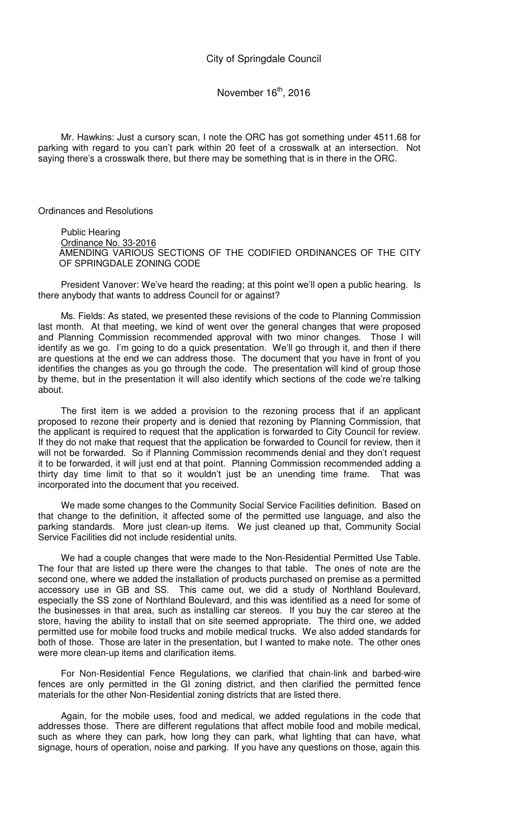Mr. Hawkins: Just a cursory scan, I note the ORC has got something under 4511.68 for parking with regard to you can't park within 20 feet of a crosswalk at an intersection. Not saying there's a crosswalk there, but there may be something that is in there in the ORC.

Ordinances and Resolutions

Public Hearing Ordinance No. 33-2016 AMENDING VARIOUS SECTIONS OF THE CODIFIED ORDINANCES OF THE CITY OF SPRINGDALE ZONING CODE

President Vanover: We've heard the reading; at this point we'll open a public hearing. Is there anybody that wants to address Council for or against?

Ms. Fields: As stated, we presented these revisions of the code to Planning Commission last month. At that meeting, we kind of went over the general changes that were proposed and Planning Commission recommended approval with two minor changes. Those I will identify as we go. I'm going to do a quick presentation. We'll go through it, and then if there are questions at the end we can address those. The document that you have in front of you identifies the changes as you go through the code. The presentation will kind of group those by theme, but in the presentation it will also identify which sections of the code we're talking about.

The first item is we added a provision to the rezoning process that if an applicant proposed to rezone their property and is denied that rezoning by Planning Commission, that the applicant is required to request that the application is forwarded to City Council for review. If they do not make that request that the application be forwarded to Council for review, then it will not be forwarded. So if Planning Commission recommends denial and they don't request it to be forwarded, it will just end at that point. Planning Commission recommended adding a thirty day time limit to that so it wouldn't just be an unending time frame. That was incorporated into the document that you received.

We made some changes to the Community Social Service Facilities definition. Based on that change to the definition, it affected some of the permitted use language, and also the parking standards. More just clean-up items. We just cleaned up that, Community Social Service Facilities did not include residential units.

We had a couple changes that were made to the Non-Residential Permitted Use Table. The four that are listed up there were the changes to that table. The ones of note are the second one, where we added the installation of products purchased on premise as a permitted accessory use in GB and SS. This came out, we did a study of Northland Boulevard, especially the SS zone of Northland Boulevard, and this was identified as a need for some of the businesses in that area, such as installing car stereos. If you buy the car stereo at the store, having the ability to install that on site seemed appropriate. The third one, we added permitted use for mobile food trucks and mobile medical trucks. We also added standards for both of those. Those are later in the presentation, but I wanted to make note. The other ones were more clean-up items and clarification items.

For Non-Residential Fence Regulations, we clarified that chain-link and barbed-wire fences are only permitted in the GI zoning district, and then clarified the permitted fence materials for the other Non-Residential zoning districts that are listed there.

Again, for the mobile uses, food and medical, we added regulations in the code that addresses those. There are different regulations that affect mobile food and mobile medical, such as where they can park, how long they can park, what lighting that can have, what signage, hours of operation, noise and parking. If you have any questions on those, again this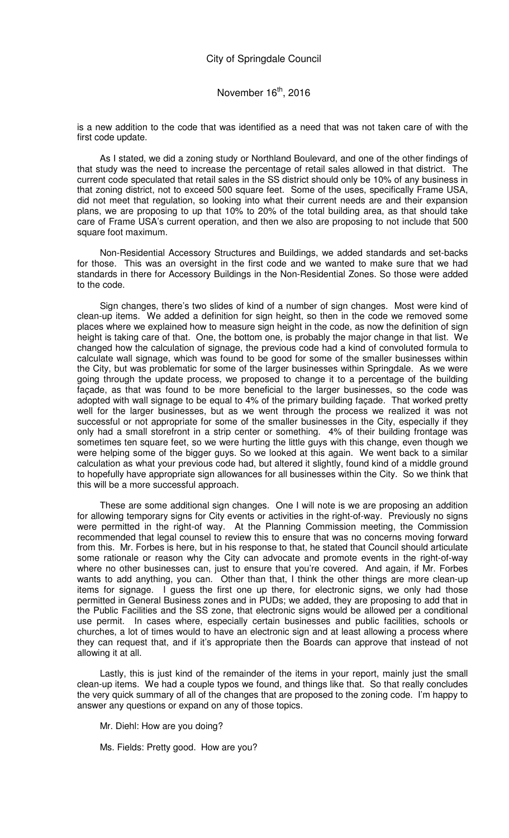is a new addition to the code that was identified as a need that was not taken care of with the first code update.

As I stated, we did a zoning study or Northland Boulevard, and one of the other findings of that study was the need to increase the percentage of retail sales allowed in that district. The current code speculated that retail sales in the SS district should only be 10% of any business in that zoning district, not to exceed 500 square feet. Some of the uses, specifically Frame USA, did not meet that regulation, so looking into what their current needs are and their expansion plans, we are proposing to up that 10% to 20% of the total building area, as that should take care of Frame USA's current operation, and then we also are proposing to not include that 500 square foot maximum.

Non-Residential Accessory Structures and Buildings, we added standards and set-backs for those. This was an oversight in the first code and we wanted to make sure that we had standards in there for Accessory Buildings in the Non-Residential Zones. So those were added to the code.

Sign changes, there's two slides of kind of a number of sign changes. Most were kind of clean-up items. We added a definition for sign height, so then in the code we removed some places where we explained how to measure sign height in the code, as now the definition of sign height is taking care of that. One, the bottom one, is probably the major change in that list. We changed how the calculation of signage, the previous code had a kind of convoluted formula to calculate wall signage, which was found to be good for some of the smaller businesses within the City, but was problematic for some of the larger businesses within Springdale. As we were going through the update process, we proposed to change it to a percentage of the building façade, as that was found to be more beneficial to the larger businesses, so the code was adopted with wall signage to be equal to 4% of the primary building façade. That worked pretty well for the larger businesses, but as we went through the process we realized it was not successful or not appropriate for some of the smaller businesses in the City, especially if they only had a small storefront in a strip center or something. 4% of their building frontage was sometimes ten square feet, so we were hurting the little guys with this change, even though we were helping some of the bigger guys. So we looked at this again. We went back to a similar calculation as what your previous code had, but altered it slightly, found kind of a middle ground to hopefully have appropriate sign allowances for all businesses within the City. So we think that this will be a more successful approach.

These are some additional sign changes. One I will note is we are proposing an addition for allowing temporary signs for City events or activities in the right-of-way. Previously no signs were permitted in the right-of way. At the Planning Commission meeting, the Commission recommended that legal counsel to review this to ensure that was no concerns moving forward from this. Mr. Forbes is here, but in his response to that, he stated that Council should articulate some rationale or reason why the City can advocate and promote events in the right-of-way where no other businesses can, just to ensure that you're covered. And again, if Mr. Forbes wants to add anything, you can. Other than that, I think the other things are more clean-up items for signage. I guess the first one up there, for electronic signs, we only had those permitted in General Business zones and in PUDs; we added, they are proposing to add that in the Public Facilities and the SS zone, that electronic signs would be allowed per a conditional use permit. In cases where, especially certain businesses and public facilities, schools or churches, a lot of times would to have an electronic sign and at least allowing a process where they can request that, and if it's appropriate then the Boards can approve that instead of not allowing it at all.

Lastly, this is just kind of the remainder of the items in your report, mainly just the small clean-up items. We had a couple typos we found, and things like that. So that really concludes the very quick summary of all of the changes that are proposed to the zoning code. I'm happy to answer any questions or expand on any of those topics.

Mr. Diehl: How are you doing?

Ms. Fields: Pretty good. How are you?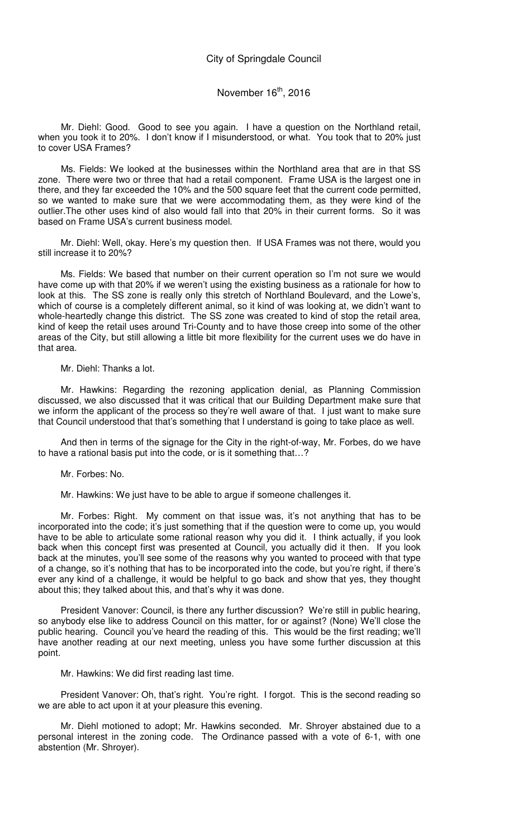# November 16<sup>th</sup>, 2016

Mr. Diehl: Good. Good to see you again. I have a question on the Northland retail, when you took it to 20%. I don't know if I misunderstood, or what. You took that to 20% just to cover USA Frames?

Ms. Fields: We looked at the businesses within the Northland area that are in that SS zone. There were two or three that had a retail component. Frame USA is the largest one in there, and they far exceeded the 10% and the 500 square feet that the current code permitted, so we wanted to make sure that we were accommodating them, as they were kind of the outlier.The other uses kind of also would fall into that 20% in their current forms. So it was based on Frame USA's current business model.

Mr. Diehl: Well, okay. Here's my question then. If USA Frames was not there, would you still increase it to 20%?

Ms. Fields: We based that number on their current operation so I'm not sure we would have come up with that 20% if we weren't using the existing business as a rationale for how to look at this. The SS zone is really only this stretch of Northland Boulevard, and the Lowe's, which of course is a completely different animal, so it kind of was looking at, we didn't want to whole-heartedly change this district. The SS zone was created to kind of stop the retail area, kind of keep the retail uses around Tri-County and to have those creep into some of the other areas of the City, but still allowing a little bit more flexibility for the current uses we do have in that area.

Mr. Diehl: Thanks a lot.

Mr. Hawkins: Regarding the rezoning application denial, as Planning Commission discussed, we also discussed that it was critical that our Building Department make sure that we inform the applicant of the process so they're well aware of that. I just want to make sure that Council understood that that's something that I understand is going to take place as well.

And then in terms of the signage for the City in the right-of-way, Mr. Forbes, do we have to have a rational basis put into the code, or is it something that…?

Mr. Forbes: No.

Mr. Hawkins: We just have to be able to argue if someone challenges it.

Mr. Forbes: Right. My comment on that issue was, it's not anything that has to be incorporated into the code; it's just something that if the question were to come up, you would have to be able to articulate some rational reason why you did it. I think actually, if you look back when this concept first was presented at Council, you actually did it then. If you look back at the minutes, you'll see some of the reasons why you wanted to proceed with that type of a change, so it's nothing that has to be incorporated into the code, but you're right, if there's ever any kind of a challenge, it would be helpful to go back and show that yes, they thought about this; they talked about this, and that's why it was done.

President Vanover: Council, is there any further discussion? We're still in public hearing, so anybody else like to address Council on this matter, for or against? (None) We'll close the public hearing. Council you've heard the reading of this. This would be the first reading; we'll have another reading at our next meeting, unless you have some further discussion at this point.

Mr. Hawkins: We did first reading last time.

President Vanover: Oh, that's right. You're right. I forgot. This is the second reading so we are able to act upon it at your pleasure this evening.

Mr. Diehl motioned to adopt; Mr. Hawkins seconded. Mr. Shroyer abstained due to a personal interest in the zoning code. The Ordinance passed with a vote of 6-1, with one abstention (Mr. Shroyer).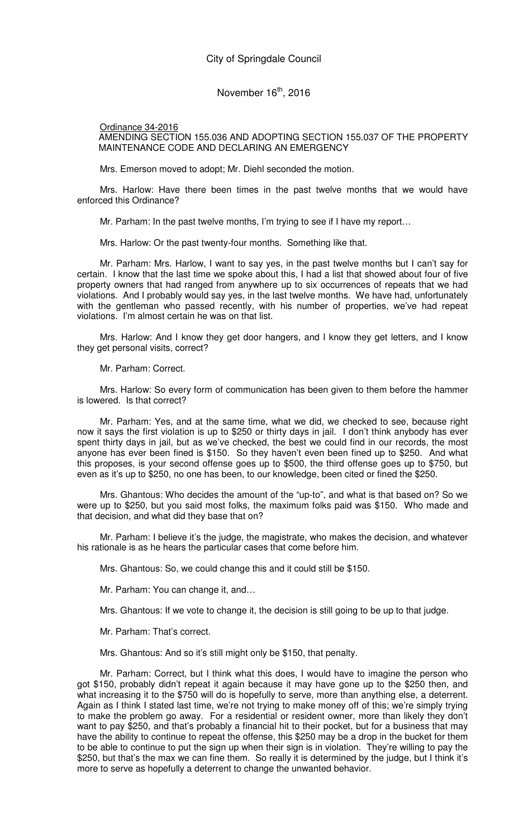Ordinance 34-2016 AMENDING SECTION 155.036 AND ADOPTING SECTION 155.037 OF THE PROPERTY MAINTENANCE CODE AND DECLARING AN EMERGENCY

Mrs. Emerson moved to adopt; Mr. Diehl seconded the motion.

Mrs. Harlow: Have there been times in the past twelve months that we would have enforced this Ordinance?

Mr. Parham: In the past twelve months, I'm trying to see if I have my report…

Mrs. Harlow: Or the past twenty-four months. Something like that.

Mr. Parham: Mrs. Harlow, I want to say yes, in the past twelve months but I can't say for certain. I know that the last time we spoke about this, I had a list that showed about four of five property owners that had ranged from anywhere up to six occurrences of repeats that we had violations. And I probably would say yes, in the last twelve months. We have had, unfortunately with the gentleman who passed recently, with his number of properties, we've had repeat violations. I'm almost certain he was on that list.

Mrs. Harlow: And I know they get door hangers, and I know they get letters, and I know they get personal visits, correct?

Mr. Parham: Correct.

Mrs. Harlow: So every form of communication has been given to them before the hammer is lowered. Is that correct?

Mr. Parham: Yes, and at the same time, what we did, we checked to see, because right now it says the first violation is up to \$250 or thirty days in jail. I don't think anybody has ever spent thirty days in jail, but as we've checked, the best we could find in our records, the most anyone has ever been fined is \$150. So they haven't even been fined up to \$250. And what this proposes, is your second offense goes up to \$500, the third offense goes up to \$750, but even as it's up to \$250, no one has been, to our knowledge, been cited or fined the \$250.

Mrs. Ghantous: Who decides the amount of the "up-to", and what is that based on? So we were up to \$250, but you said most folks, the maximum folks paid was \$150. Who made and that decision, and what did they base that on?

Mr. Parham: I believe it's the judge, the magistrate, who makes the decision, and whatever his rationale is as he hears the particular cases that come before him.

Mrs. Ghantous: So, we could change this and it could still be \$150.

Mr. Parham: You can change it, and…

Mrs. Ghantous: If we vote to change it, the decision is still going to be up to that judge.

Mr. Parham: That's correct.

Mrs. Ghantous: And so it's still might only be \$150, that penalty.

Mr. Parham: Correct, but I think what this does, I would have to imagine the person who got \$150, probably didn't repeat it again because it may have gone up to the \$250 then, and what increasing it to the \$750 will do is hopefully to serve, more than anything else, a deterrent. Again as I think I stated last time, we're not trying to make money off of this; we're simply trying to make the problem go away. For a residential or resident owner, more than likely they don't want to pay \$250, and that's probably a financial hit to their pocket, but for a business that may have the ability to continue to repeat the offense, this \$250 may be a drop in the bucket for them to be able to continue to put the sign up when their sign is in violation. They're willing to pay the \$250, but that's the max we can fine them. So really it is determined by the judge, but I think it's more to serve as hopefully a deterrent to change the unwanted behavior.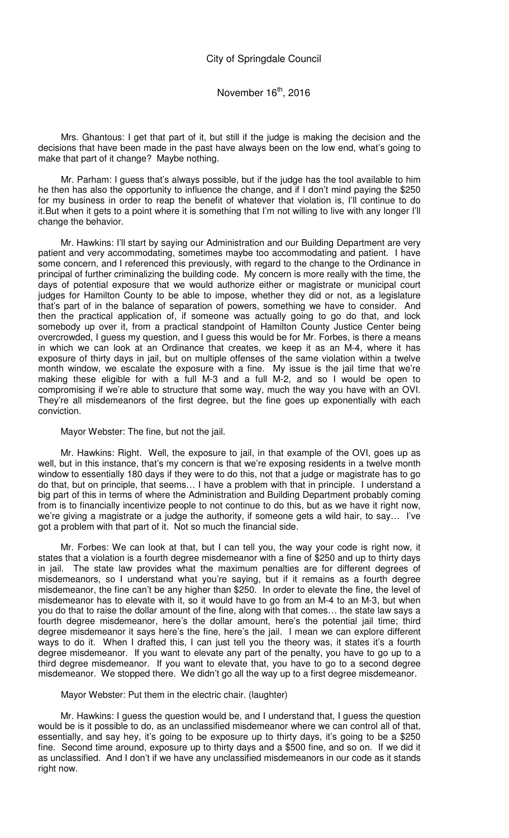Mrs. Ghantous: I get that part of it, but still if the judge is making the decision and the decisions that have been made in the past have always been on the low end, what's going to make that part of it change? Maybe nothing.

Mr. Parham: I guess that's always possible, but if the judge has the tool available to him he then has also the opportunity to influence the change, and if I don't mind paying the \$250 for my business in order to reap the benefit of whatever that violation is, I'll continue to do it.But when it gets to a point where it is something that I'm not willing to live with any longer I'll change the behavior.

Mr. Hawkins: I'll start by saying our Administration and our Building Department are very patient and very accommodating, sometimes maybe too accommodating and patient. I have some concern, and I referenced this previously, with regard to the change to the Ordinance in principal of further criminalizing the building code. My concern is more really with the time, the days of potential exposure that we would authorize either or magistrate or municipal court judges for Hamilton County to be able to impose, whether they did or not, as a legislature that's part of in the balance of separation of powers, something we have to consider. And then the practical application of, if someone was actually going to go do that, and lock somebody up over it, from a practical standpoint of Hamilton County Justice Center being overcrowded, I guess my question, and I guess this would be for Mr. Forbes, is there a means in which we can look at an Ordinance that creates, we keep it as an M-4, where it has exposure of thirty days in jail, but on multiple offenses of the same violation within a twelve month window, we escalate the exposure with a fine. My issue is the jail time that we're making these eligible for with a full M-3 and a full M-2, and so I would be open to compromising if we're able to structure that some way, much the way you have with an OVI. They're all misdemeanors of the first degree, but the fine goes up exponentially with each conviction.

Mayor Webster: The fine, but not the jail.

Mr. Hawkins: Right. Well, the exposure to jail, in that example of the OVI, goes up as well, but in this instance, that's my concern is that we're exposing residents in a twelve month window to essentially 180 days if they were to do this, not that a judge or magistrate has to go do that, but on principle, that seems… I have a problem with that in principle. I understand a big part of this in terms of where the Administration and Building Department probably coming from is to financially incentivize people to not continue to do this, but as we have it right now, we're giving a magistrate or a judge the authority, if someone gets a wild hair, to say… I've got a problem with that part of it. Not so much the financial side.

Mr. Forbes: We can look at that, but I can tell you, the way your code is right now, it states that a violation is a fourth degree misdemeanor with a fine of \$250 and up to thirty days in jail. The state law provides what the maximum penalties are for different degrees of misdemeanors, so I understand what you're saying, but if it remains as a fourth degree misdemeanor, the fine can't be any higher than \$250. In order to elevate the fine, the level of misdemeanor has to elevate with it, so it would have to go from an M-4 to an M-3, but when you do that to raise the dollar amount of the fine, along with that comes… the state law says a fourth degree misdemeanor, here's the dollar amount, here's the potential jail time; third degree misdemeanor it says here's the fine, here's the jail. I mean we can explore different ways to do it. When I drafted this, I can just tell you the theory was, it states it's a fourth degree misdemeanor. If you want to elevate any part of the penalty, you have to go up to a third degree misdemeanor. If you want to elevate that, you have to go to a second degree misdemeanor. We stopped there. We didn't go all the way up to a first degree misdemeanor.

#### Mayor Webster: Put them in the electric chair. (laughter)

Mr. Hawkins: I guess the question would be, and I understand that, I guess the question would be is it possible to do, as an unclassified misdemeanor where we can control all of that, essentially, and say hey, it's going to be exposure up to thirty days, it's going to be a \$250 fine. Second time around, exposure up to thirty days and a \$500 fine, and so on. If we did it as unclassified. And I don't if we have any unclassified misdemeanors in our code as it stands right now.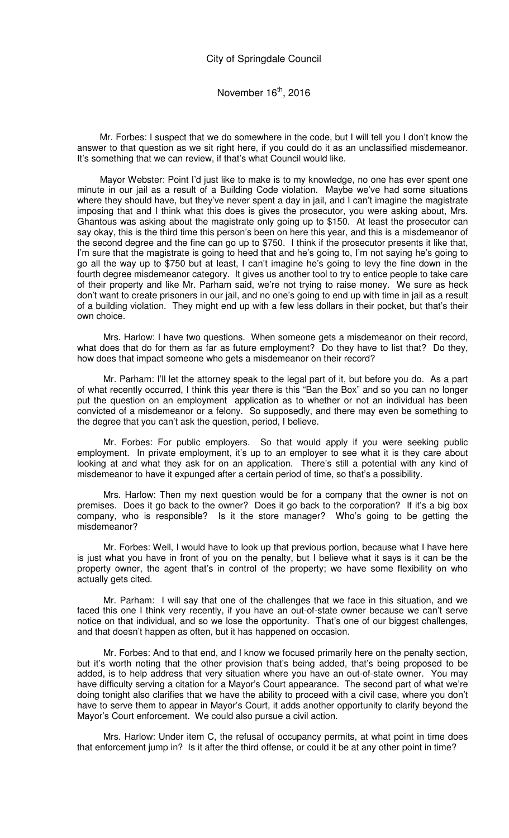Mr. Forbes: I suspect that we do somewhere in the code, but I will tell you I don't know the answer to that question as we sit right here, if you could do it as an unclassified misdemeanor. It's something that we can review, if that's what Council would like.

Mayor Webster: Point I'd just like to make is to my knowledge, no one has ever spent one minute in our jail as a result of a Building Code violation. Maybe we've had some situations where they should have, but they've never spent a day in jail, and I can't imagine the magistrate imposing that and I think what this does is gives the prosecutor, you were asking about, Mrs. Ghantous was asking about the magistrate only going up to \$150. At least the prosecutor can say okay, this is the third time this person's been on here this year, and this is a misdemeanor of the second degree and the fine can go up to \$750. I think if the prosecutor presents it like that, I'm sure that the magistrate is going to heed that and he's going to, I'm not saying he's going to go all the way up to \$750 but at least, I can't imagine he's going to levy the fine down in the fourth degree misdemeanor category. It gives us another tool to try to entice people to take care of their property and like Mr. Parham said, we're not trying to raise money. We sure as heck don't want to create prisoners in our jail, and no one's going to end up with time in jail as a result of a building violation. They might end up with a few less dollars in their pocket, but that's their own choice.

Mrs. Harlow: I have two questions. When someone gets a misdemeanor on their record, what does that do for them as far as future employment? Do they have to list that? Do they, how does that impact someone who gets a misdemeanor on their record?

Mr. Parham: I'll let the attorney speak to the legal part of it, but before you do. As a part of what recently occurred, I think this year there is this "Ban the Box" and so you can no longer put the question on an employment application as to whether or not an individual has been convicted of a misdemeanor or a felony. So supposedly, and there may even be something to the degree that you can't ask the question, period, I believe.

Mr. Forbes: For public employers. So that would apply if you were seeking public employment. In private employment, it's up to an employer to see what it is they care about looking at and what they ask for on an application. There's still a potential with any kind of misdemeanor to have it expunged after a certain period of time, so that's a possibility.

Mrs. Harlow: Then my next question would be for a company that the owner is not on premises. Does it go back to the owner? Does it go back to the corporation? If it's a big box company, who is responsible? Is it the store manager? Who's going to be getting the misdemeanor?

Mr. Forbes: Well, I would have to look up that previous portion, because what I have here is just what you have in front of you on the penalty, but I believe what it says is it can be the property owner, the agent that's in control of the property; we have some flexibility on who actually gets cited.

Mr. Parham: I will say that one of the challenges that we face in this situation, and we faced this one I think very recently, if you have an out-of-state owner because we can't serve notice on that individual, and so we lose the opportunity. That's one of our biggest challenges, and that doesn't happen as often, but it has happened on occasion.

Mr. Forbes: And to that end, and I know we focused primarily here on the penalty section, but it's worth noting that the other provision that's being added, that's being proposed to be added, is to help address that very situation where you have an out-of-state owner. You may have difficulty serving a citation for a Mayor's Court appearance. The second part of what we're doing tonight also clarifies that we have the ability to proceed with a civil case, where you don't have to serve them to appear in Mayor's Court, it adds another opportunity to clarify beyond the Mayor's Court enforcement. We could also pursue a civil action.

Mrs. Harlow: Under item C, the refusal of occupancy permits, at what point in time does that enforcement jump in? Is it after the third offense, or could it be at any other point in time?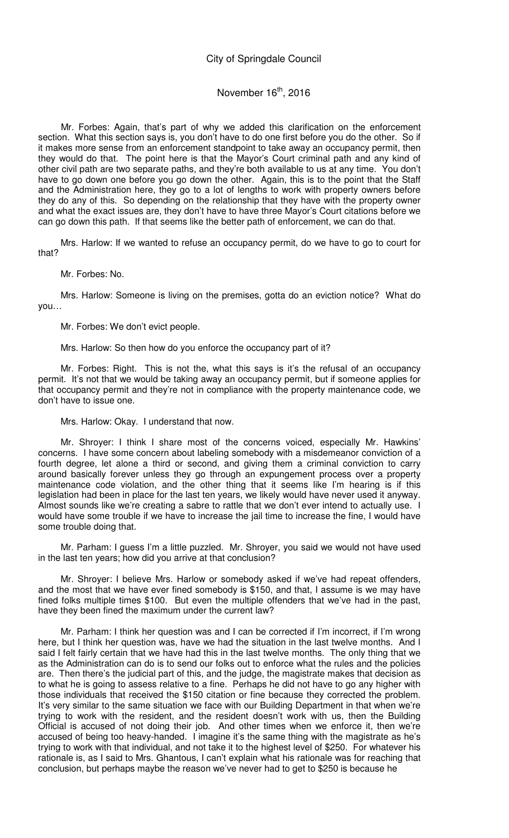## November  $16<sup>th</sup>$ , 2016

Mr. Forbes: Again, that's part of why we added this clarification on the enforcement section. What this section says is, you don't have to do one first before you do the other. So if it makes more sense from an enforcement standpoint to take away an occupancy permit, then they would do that. The point here is that the Mayor's Court criminal path and any kind of other civil path are two separate paths, and they're both available to us at any time. You don't have to go down one before you go down the other. Again, this is to the point that the Staff and the Administration here, they go to a lot of lengths to work with property owners before they do any of this. So depending on the relationship that they have with the property owner and what the exact issues are, they don't have to have three Mayor's Court citations before we can go down this path. If that seems like the better path of enforcement, we can do that.

Mrs. Harlow: If we wanted to refuse an occupancy permit, do we have to go to court for that?

Mr. Forbes: No.

Mrs. Harlow: Someone is living on the premises, gotta do an eviction notice? What do you…

Mr. Forbes: We don't evict people.

Mrs. Harlow: So then how do you enforce the occupancy part of it?

Mr. Forbes: Right. This is not the, what this says is it's the refusal of an occupancy permit. It's not that we would be taking away an occupancy permit, but if someone applies for that occupancy permit and they're not in compliance with the property maintenance code, we don't have to issue one.

Mrs. Harlow: Okay. I understand that now.

Mr. Shroyer: I think I share most of the concerns voiced, especially Mr. Hawkins' concerns. I have some concern about labeling somebody with a misdemeanor conviction of a fourth degree, let alone a third or second, and giving them a criminal conviction to carry around basically forever unless they go through an expungement process over a property maintenance code violation, and the other thing that it seems like I'm hearing is if this legislation had been in place for the last ten years, we likely would have never used it anyway. Almost sounds like we're creating a sabre to rattle that we don't ever intend to actually use. I would have some trouble if we have to increase the jail time to increase the fine, I would have some trouble doing that.

Mr. Parham: I guess I'm a little puzzled. Mr. Shroyer, you said we would not have used in the last ten years; how did you arrive at that conclusion?

Mr. Shroyer: I believe Mrs. Harlow or somebody asked if we've had repeat offenders, and the most that we have ever fined somebody is \$150, and that, I assume is we may have fined folks multiple times \$100. But even the multiple offenders that we've had in the past, have they been fined the maximum under the current law?

Mr. Parham: I think her question was and I can be corrected if I'm incorrect, if I'm wrong here, but I think her question was, have we had the situation in the last twelve months. And I said I felt fairly certain that we have had this in the last twelve months. The only thing that we as the Administration can do is to send our folks out to enforce what the rules and the policies are. Then there's the judicial part of this, and the judge, the magistrate makes that decision as to what he is going to assess relative to a fine. Perhaps he did not have to go any higher with those individuals that received the \$150 citation or fine because they corrected the problem. It's very similar to the same situation we face with our Building Department in that when we're trying to work with the resident, and the resident doesn't work with us, then the Building Official is accused of not doing their job. And other times when we enforce it, then we're accused of being too heavy-handed. I imagine it's the same thing with the magistrate as he's trying to work with that individual, and not take it to the highest level of \$250. For whatever his rationale is, as I said to Mrs. Ghantous, I can't explain what his rationale was for reaching that conclusion, but perhaps maybe the reason we've never had to get to \$250 is because he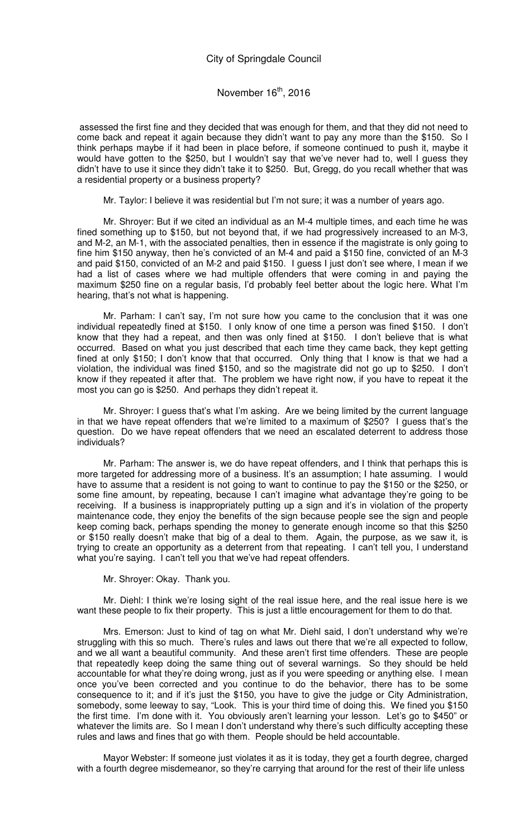assessed the first fine and they decided that was enough for them, and that they did not need to come back and repeat it again because they didn't want to pay any more than the \$150. So I think perhaps maybe if it had been in place before, if someone continued to push it, maybe it would have gotten to the \$250, but I wouldn't say that we've never had to, well I guess they didn't have to use it since they didn't take it to \$250. But, Gregg, do you recall whether that was a residential property or a business property?

Mr. Taylor: I believe it was residential but I'm not sure; it was a number of years ago.

Mr. Shroyer: But if we cited an individual as an M-4 multiple times, and each time he was fined something up to \$150, but not beyond that, if we had progressively increased to an M-3, and M-2, an M-1, with the associated penalties, then in essence if the magistrate is only going to fine him \$150 anyway, then he's convicted of an M-4 and paid a \$150 fine, convicted of an M-3 and paid \$150, convicted of an M-2 and paid \$150. I guess I just don't see where, I mean if we had a list of cases where we had multiple offenders that were coming in and paying the maximum \$250 fine on a regular basis, I'd probably feel better about the logic here. What I'm hearing, that's not what is happening.

Mr. Parham: I can't say, I'm not sure how you came to the conclusion that it was one individual repeatedly fined at \$150. I only know of one time a person was fined \$150. I don't know that they had a repeat, and then was only fined at \$150. I don't believe that is what occurred. Based on what you just described that each time they came back, they kept getting fined at only \$150; I don't know that that occurred. Only thing that I know is that we had a violation, the individual was fined \$150, and so the magistrate did not go up to \$250. I don't know if they repeated it after that. The problem we have right now, if you have to repeat it the most you can go is \$250. And perhaps they didn't repeat it.

Mr. Shroyer: I guess that's what I'm asking. Are we being limited by the current language in that we have repeat offenders that we're limited to a maximum of \$250? I guess that's the question. Do we have repeat offenders that we need an escalated deterrent to address those individuals?

Mr. Parham: The answer is, we do have repeat offenders, and I think that perhaps this is more targeted for addressing more of a business. It's an assumption; I hate assuming. I would have to assume that a resident is not going to want to continue to pay the \$150 or the \$250, or some fine amount, by repeating, because I can't imagine what advantage they're going to be receiving. If a business is inappropriately putting up a sign and it's in violation of the property maintenance code, they enjoy the benefits of the sign because people see the sign and people keep coming back, perhaps spending the money to generate enough income so that this \$250 or \$150 really doesn't make that big of a deal to them. Again, the purpose, as we saw it, is trying to create an opportunity as a deterrent from that repeating. I can't tell you, I understand what you're saying. I can't tell you that we've had repeat offenders.

Mr. Shroyer: Okay. Thank you.

Mr. Diehl: I think we're losing sight of the real issue here, and the real issue here is we want these people to fix their property. This is just a little encouragement for them to do that.

Mrs. Emerson: Just to kind of tag on what Mr. Diehl said, I don't understand why we're struggling with this so much. There's rules and laws out there that we're all expected to follow, and we all want a beautiful community. And these aren't first time offenders. These are people that repeatedly keep doing the same thing out of several warnings. So they should be held accountable for what they're doing wrong, just as if you were speeding or anything else. I mean once you've been corrected and you continue to do the behavior, there has to be some consequence to it; and if it's just the \$150, you have to give the judge or City Administration, somebody, some leeway to say, "Look. This is your third time of doing this. We fined you \$150 the first time. I'm done with it. You obviously aren't learning your lesson. Let's go to \$450" or whatever the limits are. So I mean I don't understand why there's such difficulty accepting these rules and laws and fines that go with them. People should be held accountable.

Mayor Webster: If someone just violates it as it is today, they get a fourth degree, charged with a fourth degree misdemeanor, so they're carrying that around for the rest of their life unless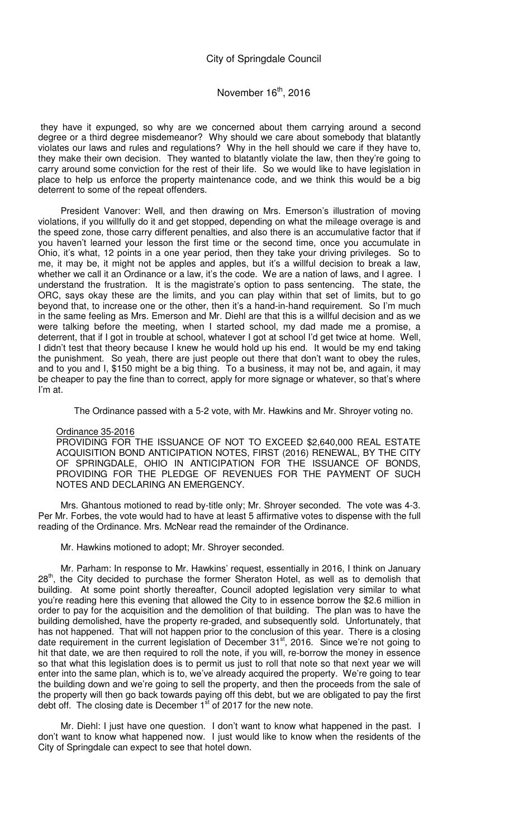# November 16<sup>th</sup>, 2016

 they have it expunged, so why are we concerned about them carrying around a second degree or a third degree misdemeanor? Why should we care about somebody that blatantly violates our laws and rules and regulations? Why in the hell should we care if they have to, they make their own decision. They wanted to blatantly violate the law, then they're going to carry around some conviction for the rest of their life. So we would like to have legislation in place to help us enforce the property maintenance code, and we think this would be a big deterrent to some of the repeat offenders.

President Vanover: Well, and then drawing on Mrs. Emerson's illustration of moving violations, if you willfully do it and get stopped, depending on what the mileage overage is and the speed zone, those carry different penalties, and also there is an accumulative factor that if you haven't learned your lesson the first time or the second time, once you accumulate in Ohio, it's what, 12 points in a one year period, then they take your driving privileges. So to me, it may be, it might not be apples and apples, but it's a willful decision to break a law, whether we call it an Ordinance or a law, it's the code. We are a nation of laws, and I agree. I understand the frustration. It is the magistrate's option to pass sentencing. The state, the ORC, says okay these are the limits, and you can play within that set of limits, but to go beyond that, to increase one or the other, then it's a hand-in-hand requirement. So I'm much in the same feeling as Mrs. Emerson and Mr. Diehl are that this is a willful decision and as we were talking before the meeting, when I started school, my dad made me a promise, a deterrent, that if I got in trouble at school, whatever I got at school I'd get twice at home. Well, I didn't test that theory because I knew he would hold up his end. It would be my end taking the punishment. So yeah, there are just people out there that don't want to obey the rules, and to you and I, \$150 might be a big thing. To a business, it may not be, and again, it may be cheaper to pay the fine than to correct, apply for more signage or whatever, so that's where I'm at.

The Ordinance passed with a 5-2 vote, with Mr. Hawkins and Mr. Shroyer voting no.

#### Ordinance 35-2016

PROVIDING FOR THE ISSUANCE OF NOT TO EXCEED \$2,640,000 REAL ESTATE ACQUISITION BOND ANTICIPATION NOTES, FIRST (2016) RENEWAL, BY THE CITY OF SPRINGDALE, OHIO IN ANTICIPATION FOR THE ISSUANCE OF BONDS, PROVIDING FOR THE PLEDGE OF REVENUES FOR THE PAYMENT OF SUCH NOTES AND DECLARING AN EMERGENCY.

Mrs. Ghantous motioned to read by-title only; Mr. Shroyer seconded. The vote was 4-3. Per Mr. Forbes, the vote would had to have at least 5 affirmative votes to dispense with the full reading of the Ordinance. Mrs. McNear read the remainder of the Ordinance.

Mr. Hawkins motioned to adopt; Mr. Shroyer seconded.

Mr. Parham: In response to Mr. Hawkins' request, essentially in 2016, I think on January 28<sup>th</sup>, the City decided to purchase the former Sheraton Hotel, as well as to demolish that building. At some point shortly thereafter, Council adopted legislation very similar to what you're reading here this evening that allowed the City to in essence borrow the \$2.6 million in order to pay for the acquisition and the demolition of that building. The plan was to have the building demolished, have the property re-graded, and subsequently sold. Unfortunately, that has not happened. That will not happen prior to the conclusion of this year. There is a closing date requirement in the current legislation of December 31<sup>st</sup>, 2016. Since we're not going to hit that date, we are then required to roll the note, if you will, re-borrow the money in essence so that what this legislation does is to permit us just to roll that note so that next year we will enter into the same plan, which is to, we've already acquired the property. We're going to tear the building down and we're going to sell the property, and then the proceeds from the sale of the property will then go back towards paying off this debt, but we are obligated to pay the first debt off. The closing date is December  $1<sup>st</sup>$  of 2017 for the new note.

Mr. Diehl: I just have one question. I don't want to know what happened in the past. I don't want to know what happened now. I just would like to know when the residents of the City of Springdale can expect to see that hotel down.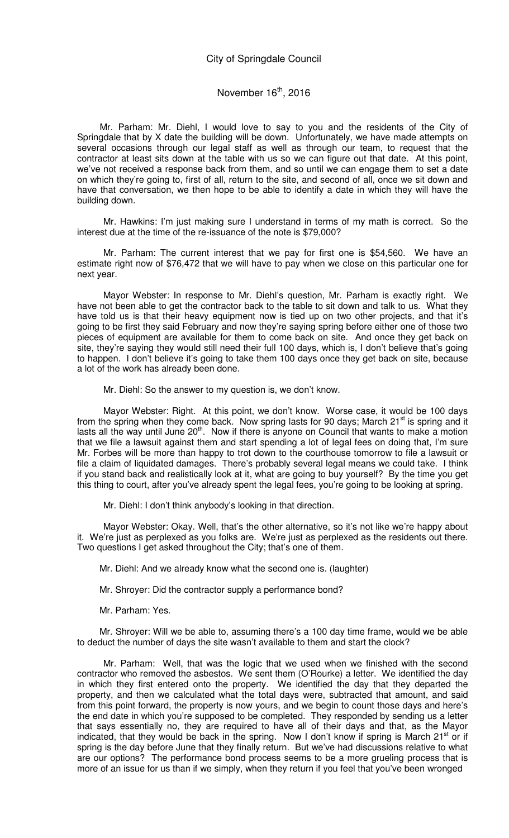Mr. Parham: Mr. Diehl, I would love to say to you and the residents of the City of Springdale that by X date the building will be down. Unfortunately, we have made attempts on several occasions through our legal staff as well as through our team, to request that the contractor at least sits down at the table with us so we can figure out that date. At this point, we've not received a response back from them, and so until we can engage them to set a date on which they're going to, first of all, return to the site, and second of all, once we sit down and have that conversation, we then hope to be able to identify a date in which they will have the building down.

Mr. Hawkins: I'm just making sure I understand in terms of my math is correct. So the interest due at the time of the re-issuance of the note is \$79,000?

Mr. Parham: The current interest that we pay for first one is \$54,560. We have an estimate right now of \$76,472 that we will have to pay when we close on this particular one for next year.

Mayor Webster: In response to Mr. Diehl's question, Mr. Parham is exactly right. We have not been able to get the contractor back to the table to sit down and talk to us. What they have told us is that their heavy equipment now is tied up on two other projects, and that it's going to be first they said February and now they're saying spring before either one of those two pieces of equipment are available for them to come back on site. And once they get back on site, they're saying they would still need their full 100 days, which is, I don't believe that's going to happen. I don't believe it's going to take them 100 days once they get back on site, because a lot of the work has already been done.

Mr. Diehl: So the answer to my question is, we don't know.

Mayor Webster: Right. At this point, we don't know. Worse case, it would be 100 days from the spring when they come back. Now spring lasts for 90 days; March  $21^{st}$  is spring and it lasts all the way until June  $20<sup>th</sup>$ . Now if there is anyone on Council that wants to make a motion that we file a lawsuit against them and start spending a lot of legal fees on doing that, I'm sure Mr. Forbes will be more than happy to trot down to the courthouse tomorrow to file a lawsuit or file a claim of liquidated damages. There's probably several legal means we could take. I think if you stand back and realistically look at it, what are going to buy yourself? By the time you get this thing to court, after you've already spent the legal fees, you're going to be looking at spring.

Mr. Diehl: I don't think anybody's looking in that direction.

Mayor Webster: Okay. Well, that's the other alternative, so it's not like we're happy about it. We're just as perplexed as you folks are. We're just as perplexed as the residents out there. Two questions I get asked throughout the City; that's one of them.

Mr. Diehl: And we already know what the second one is. (laughter)

Mr. Shroyer: Did the contractor supply a performance bond?

Mr. Parham: Yes.

Mr. Shroyer: Will we be able to, assuming there's a 100 day time frame, would we be able to deduct the number of days the site wasn't available to them and start the clock?

Mr. Parham: Well, that was the logic that we used when we finished with the second contractor who removed the asbestos. We sent them (O'Rourke) a letter. We identified the day in which they first entered onto the property. We identified the day that they departed the property, and then we calculated what the total days were, subtracted that amount, and said from this point forward, the property is now yours, and we begin to count those days and here's the end date in which you're supposed to be completed. They responded by sending us a letter that says essentially no, they are required to have all of their days and that, as the Mayor indicated, that they would be back in the spring. Now I don't know if spring is March  $21<sup>st</sup>$  or if spring is the day before June that they finally return. But we've had discussions relative to what are our options? The performance bond process seems to be a more grueling process that is more of an issue for us than if we simply, when they return if you feel that you've been wronged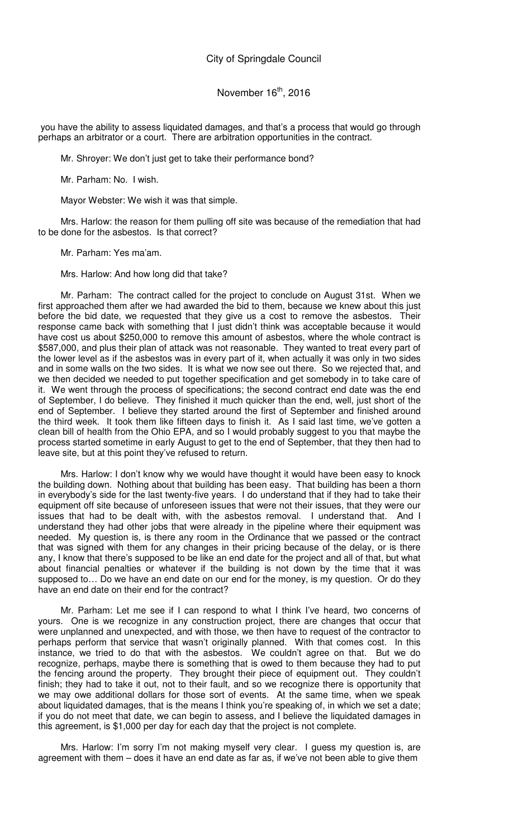you have the ability to assess liquidated damages, and that's a process that would go through perhaps an arbitrator or a court. There are arbitration opportunities in the contract.

Mr. Shroyer: We don't just get to take their performance bond?

Mr. Parham: No. I wish.

Mayor Webster: We wish it was that simple.

Mrs. Harlow: the reason for them pulling off site was because of the remediation that had to be done for the asbestos. Is that correct?

Mr. Parham: Yes ma'am.

Mrs. Harlow: And how long did that take?

Mr. Parham: The contract called for the project to conclude on August 31st. When we first approached them after we had awarded the bid to them, because we knew about this just before the bid date, we requested that they give us a cost to remove the asbestos. Their response came back with something that I just didn't think was acceptable because it would have cost us about \$250,000 to remove this amount of asbestos, where the whole contract is \$587,000, and plus their plan of attack was not reasonable. They wanted to treat every part of the lower level as if the asbestos was in every part of it, when actually it was only in two sides and in some walls on the two sides. It is what we now see out there. So we rejected that, and we then decided we needed to put together specification and get somebody in to take care of it. We went through the process of specifications; the second contract end date was the end of September, I do believe. They finished it much quicker than the end, well, just short of the end of September. I believe they started around the first of September and finished around the third week. It took them like fifteen days to finish it. As I said last time, we've gotten a clean bill of health from the Ohio EPA, and so I would probably suggest to you that maybe the process started sometime in early August to get to the end of September, that they then had to leave site, but at this point they've refused to return.

Mrs. Harlow: I don't know why we would have thought it would have been easy to knock the building down. Nothing about that building has been easy. That building has been a thorn in everybody's side for the last twenty-five years. I do understand that if they had to take their equipment off site because of unforeseen issues that were not their issues, that they were our issues that had to be dealt with, with the asbestos removal. I understand that. And I understand they had other jobs that were already in the pipeline where their equipment was needed. My question is, is there any room in the Ordinance that we passed or the contract that was signed with them for any changes in their pricing because of the delay, or is there any, I know that there's supposed to be like an end date for the project and all of that, but what about financial penalties or whatever if the building is not down by the time that it was supposed to... Do we have an end date on our end for the money, is my question. Or do they have an end date on their end for the contract?

Mr. Parham: Let me see if I can respond to what I think I've heard, two concerns of yours. One is we recognize in any construction project, there are changes that occur that were unplanned and unexpected, and with those, we then have to request of the contractor to perhaps perform that service that wasn't originally planned. With that comes cost. In this instance, we tried to do that with the asbestos. We couldn't agree on that. But we do recognize, perhaps, maybe there is something that is owed to them because they had to put the fencing around the property. They brought their piece of equipment out. They couldn't finish; they had to take it out, not to their fault, and so we recognize there is opportunity that we may owe additional dollars for those sort of events. At the same time, when we speak about liquidated damages, that is the means I think you're speaking of, in which we set a date; if you do not meet that date, we can begin to assess, and I believe the liquidated damages in this agreement, is \$1,000 per day for each day that the project is not complete.

Mrs. Harlow: I'm sorry I'm not making myself very clear. I guess my question is, are agreement with them – does it have an end date as far as, if we've not been able to give them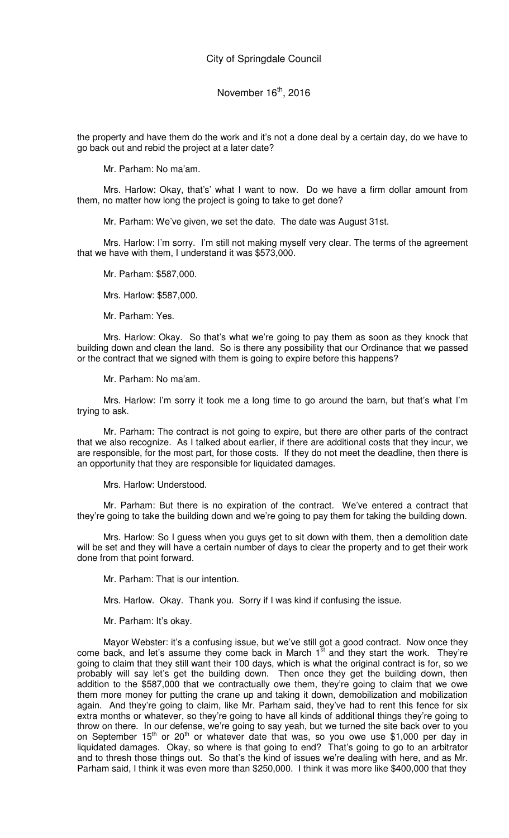the property and have them do the work and it's not a done deal by a certain day, do we have to go back out and rebid the project at a later date?

Mr. Parham: No ma'am.

Mrs. Harlow: Okay, that's' what I want to now. Do we have a firm dollar amount from them, no matter how long the project is going to take to get done?

Mr. Parham: We've given, we set the date. The date was August 31st.

Mrs. Harlow: I'm sorry. I'm still not making myself very clear. The terms of the agreement that we have with them, I understand it was \$573,000.

Mr. Parham: \$587,000.

Mrs. Harlow: \$587,000.

Mr. Parham: Yes.

Mrs. Harlow: Okay. So that's what we're going to pay them as soon as they knock that building down and clean the land. So is there any possibility that our Ordinance that we passed or the contract that we signed with them is going to expire before this happens?

Mr. Parham: No ma'am.

Mrs. Harlow: I'm sorry it took me a long time to go around the barn, but that's what I'm trying to ask.

Mr. Parham: The contract is not going to expire, but there are other parts of the contract that we also recognize. As I talked about earlier, if there are additional costs that they incur, we are responsible, for the most part, for those costs. If they do not meet the deadline, then there is an opportunity that they are responsible for liquidated damages.

Mrs. Harlow: Understood.

Mr. Parham: But there is no expiration of the contract. We've entered a contract that they're going to take the building down and we're going to pay them for taking the building down.

Mrs. Harlow: So I guess when you guys get to sit down with them, then a demolition date will be set and they will have a certain number of days to clear the property and to get their work done from that point forward.

Mr. Parham: That is our intention.

Mrs. Harlow. Okay. Thank you. Sorry if I was kind if confusing the issue.

Mr. Parham: It's okay.

Mayor Webster: it's a confusing issue, but we've still got a good contract. Now once they come back, and let's assume they come back in March  $1<sup>st</sup>$  and they start the work. They're going to claim that they still want their 100 days, which is what the original contract is for, so we probably will say let's get the building down. Then once they get the building down, then addition to the \$587,000 that we contractually owe them, they're going to claim that we owe them more money for putting the crane up and taking it down, demobilization and mobilization again. And they're going to claim, like Mr. Parham said, they've had to rent this fence for six extra months or whatever, so they're going to have all kinds of additional things they're going to throw on there. In our defense, we're going to say yeah, but we turned the site back over to you on September 15<sup>th</sup> or 20<sup>th</sup> or whatever date that was, so you owe use \$1,000 per day in liquidated damages. Okay, so where is that going to end? That's going to go to an arbitrator and to thresh those things out. So that's the kind of issues we're dealing with here, and as Mr. Parham said, I think it was even more than \$250,000. I think it was more like \$400,000 that they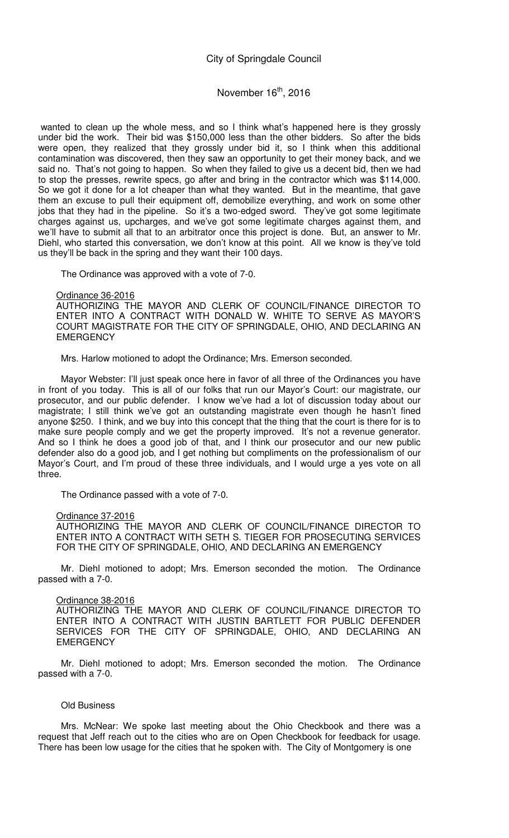## November 16<sup>th</sup>, 2016

wanted to clean up the whole mess, and so I think what's happened here is they grossly under bid the work. Their bid was \$150,000 less than the other bidders. So after the bids were open, they realized that they grossly under bid it, so I think when this additional contamination was discovered, then they saw an opportunity to get their money back, and we said no. That's not going to happen. So when they failed to give us a decent bid, then we had to stop the presses, rewrite specs, go after and bring in the contractor which was \$114,000. So we got it done for a lot cheaper than what they wanted. But in the meantime, that gave them an excuse to pull their equipment off, demobilize everything, and work on some other jobs that they had in the pipeline. So it's a two-edged sword. They've got some legitimate charges against us, upcharges, and we've got some legitimate charges against them, and we'll have to submit all that to an arbitrator once this project is done. But, an answer to Mr. Diehl, who started this conversation, we don't know at this point. All we know is they've told us they'll be back in the spring and they want their 100 days.

The Ordinance was approved with a vote of 7-0.

Ordinance 36-2016

AUTHORIZING THE MAYOR AND CLERK OF COUNCIL/FINANCE DIRECTOR TO ENTER INTO A CONTRACT WITH DONALD W. WHITE TO SERVE AS MAYOR'S COURT MAGISTRATE FOR THE CITY OF SPRINGDALE, OHIO, AND DECLARING AN **EMERGENCY** 

Mrs. Harlow motioned to adopt the Ordinance; Mrs. Emerson seconded.

Mayor Webster: I'll just speak once here in favor of all three of the Ordinances you have in front of you today. This is all of our folks that run our Mayor's Court: our magistrate, our prosecutor, and our public defender. I know we've had a lot of discussion today about our magistrate; I still think we've got an outstanding magistrate even though he hasn't fined anyone \$250. I think, and we buy into this concept that the thing that the court is there for is to make sure people comply and we get the property improved. It's not a revenue generator. And so I think he does a good job of that, and I think our prosecutor and our new public defender also do a good job, and I get nothing but compliments on the professionalism of our Mayor's Court, and I'm proud of these three individuals, and I would urge a yes vote on all three.

The Ordinance passed with a vote of 7-0.

#### Ordinance 37-2016

AUTHORIZING THE MAYOR AND CLERK OF COUNCIL/FINANCE DIRECTOR TO ENTER INTO A CONTRACT WITH SETH S. TIEGER FOR PROSECUTING SERVICES FOR THE CITY OF SPRINGDALE, OHIO, AND DECLARING AN EMERGENCY

Mr. Diehl motioned to adopt; Mrs. Emerson seconded the motion. The Ordinance passed with a 7-0.

#### Ordinance 38-2016

AUTHORIZING THE MAYOR AND CLERK OF COUNCIL/FINANCE DIRECTOR TO ENTER INTO A CONTRACT WITH JUSTIN BARTLETT FOR PUBLIC DEFENDER SERVICES FOR THE CITY OF SPRINGDALE, OHIO, AND DECLARING AN **EMERGENCY** 

Mr. Diehl motioned to adopt; Mrs. Emerson seconded the motion. The Ordinance passed with a 7-0.

#### Old Business

Mrs. McNear: We spoke last meeting about the Ohio Checkbook and there was a request that Jeff reach out to the cities who are on Open Checkbook for feedback for usage. There has been low usage for the cities that he spoken with. The City of Montgomery is one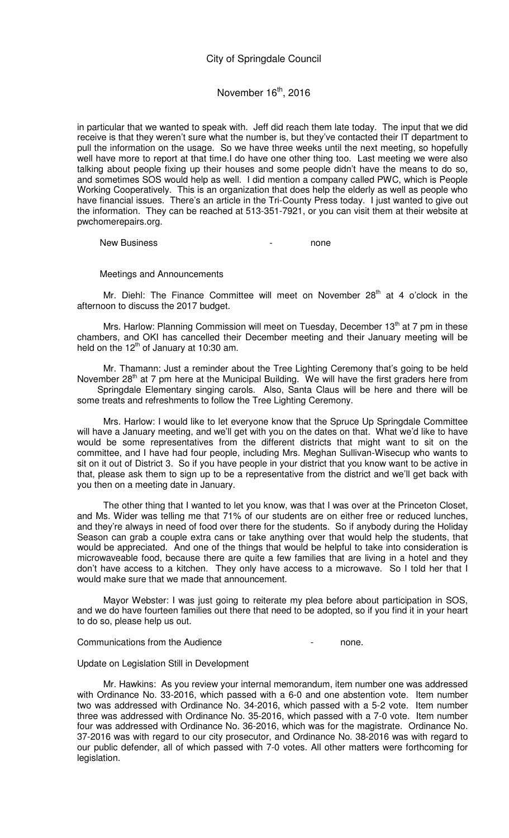#### November  $16<sup>th</sup>$ , 2016

in particular that we wanted to speak with. Jeff did reach them late today. The input that we did receive is that they weren't sure what the number is, but they've contacted their IT department to pull the information on the usage. So we have three weeks until the next meeting, so hopefully well have more to report at that time.I do have one other thing too. Last meeting we were also talking about people fixing up their houses and some people didn't have the means to do so, and sometimes SOS would help as well. I did mention a company called PWC, which is People Working Cooperatively. This is an organization that does help the elderly as well as people who have financial issues. There's an article in the Tri-County Press today. I just wanted to give out the information. They can be reached at 513-351-7921, or you can visit them at their website at pwchomerepairs.org.

New Business and the contract of the none

Meetings and Announcements

Mr. Diehl: The Finance Committee will meet on November  $28<sup>th</sup>$  at 4 o'clock in the afternoon to discuss the 2017 budget.

Mrs. Harlow: Planning Commission will meet on Tuesday, December 13<sup>th</sup> at 7 pm in these chambers, and OKI has cancelled their December meeting and their January meeting will be held on the  $12<sup>th</sup>$  of January at 10:30 am.

Mr. Thamann: Just a reminder about the Tree Lighting Ceremony that's going to be held November 28<sup>th</sup> at 7 pm here at the Municipal Building. We will have the first graders here from Springdale Elementary singing carols. Also, Santa Claus will be here and there will be some treats and refreshments to follow the Tree Lighting Ceremony.

Mrs. Harlow: I would like to let everyone know that the Spruce Up Springdale Committee will have a January meeting, and we'll get with you on the dates on that. What we'd like to have would be some representatives from the different districts that might want to sit on the committee, and I have had four people, including Mrs. Meghan Sullivan-Wisecup who wants to sit on it out of District 3. So if you have people in your district that you know want to be active in that, please ask them to sign up to be a representative from the district and we'll get back with you then on a meeting date in January.

The other thing that I wanted to let you know, was that I was over at the Princeton Closet, and Ms. Wider was telling me that 71% of our students are on either free or reduced lunches, and they're always in need of food over there for the students. So if anybody during the Holiday Season can grab a couple extra cans or take anything over that would help the students, that would be appreciated. And one of the things that would be helpful to take into consideration is microwaveable food, because there are quite a few families that are living in a hotel and they don't have access to a kitchen. They only have access to a microwave. So I told her that I would make sure that we made that announcement.

Mayor Webster: I was just going to reiterate my plea before about participation in SOS, and we do have fourteen families out there that need to be adopted, so if you find it in your heart to do so, please help us out.

Communications from the Audience **Fig. 2018** Fig. 2018.

#### Update on Legislation Still in Development

Mr. Hawkins: As you review your internal memorandum, item number one was addressed with Ordinance No. 33-2016, which passed with a 6-0 and one abstention vote. Item number two was addressed with Ordinance No. 34-2016, which passed with a 5-2 vote. Item number three was addressed with Ordinance No. 35-2016, which passed with a 7-0 vote. Item number four was addressed with Ordinance No. 36-2016, which was for the magistrate. Ordinance No. 37-2016 was with regard to our city prosecutor, and Ordinance No. 38-2016 was with regard to our public defender, all of which passed with 7-0 votes. All other matters were forthcoming for legislation.